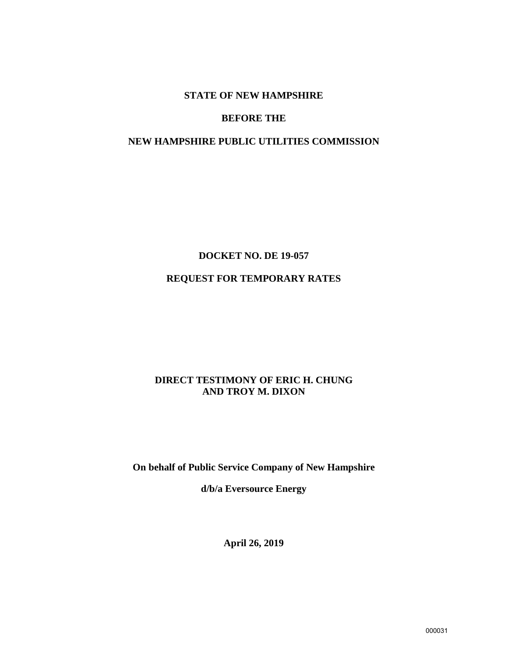#### **STATE OF NEW HAMPSHIRE**

#### **BEFORE THE**

#### **NEW HAMPSHIRE PUBLIC UTILITIES COMMISSION**

## **DOCKET NO. DE 19-057**

## **REQUEST FOR TEMPORARY RATES**

## **DIRECT TESTIMONY OF ERIC H. CHUNG AND TROY M. DIXON**

### **On behalf of Public Service Company of New Hampshire**

**d/b/a Eversource Energy**

**April 26, 2019**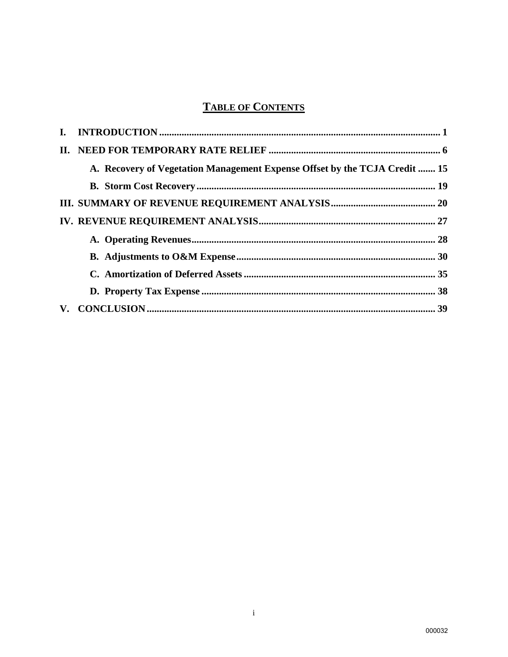# **TABLE OF CONTENTS**

| A. Recovery of Vegetation Management Expense Offset by the TCJA Credit  15 |  |
|----------------------------------------------------------------------------|--|
|                                                                            |  |
|                                                                            |  |
|                                                                            |  |
|                                                                            |  |
|                                                                            |  |
|                                                                            |  |
|                                                                            |  |
|                                                                            |  |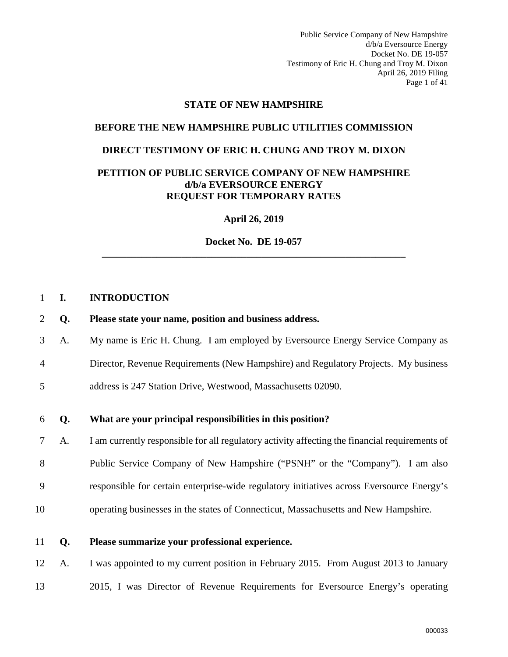Public Service Company of New Hampshire d/b/a Eversource Energy Docket No. DE 19-057 Testimony of Eric H. Chung and Troy M. Dixon April 26, 2019 Filing Page 1 of 41

#### **STATE OF NEW HAMPSHIRE**

## **BEFORE THE NEW HAMPSHIRE PUBLIC UTILITIES COMMISSION**

#### **DIRECT TESTIMONY OF ERIC H. CHUNG AND TROY M. DIXON**

#### **PETITION OF PUBLIC SERVICE COMPANY OF NEW HAMPSHIRE d/b/a EVERSOURCE ENERGY REQUEST FOR TEMPORARY RATES**

**April 26, 2019** 

**Docket No. DE 19-057 \_\_\_\_\_\_\_\_\_\_\_\_\_\_\_\_\_\_\_\_\_\_\_\_\_\_\_\_\_\_\_\_\_\_\_\_\_\_\_\_\_\_\_\_\_\_\_\_\_\_\_\_\_\_\_\_\_\_\_\_\_** 

#### <span id="page-2-0"></span>1 **I. INTRODUCTION**

- 2 **Q. Please state your name, position and business address.**
- 3 A. My name is Eric H. Chung. I am employed by Eversource Energy Service Company as
- 4 Director, Revenue Requirements (New Hampshire) and Regulatory Projects. My business
- 5 address is 247 Station Drive, Westwood, Massachusetts 02090.

#### 6 **Q. What are your principal responsibilities in this position?**

7 A. I am currently responsible for all regulatory activity affecting the financial requirements of 8 Public Service Company of New Hampshire ("PSNH" or the "Company"). I am also 9 responsible for certain enterprise-wide regulatory initiatives across Eversource Energy's

- 10 operating businesses in the states of Connecticut, Massachusetts and New Hampshire.
- 11 **Q. Please summarize your professional experience.**

12 A. I was appointed to my current position in February 2015. From August 2013 to January

13 2015, I was Director of Revenue Requirements for Eversource Energy's operating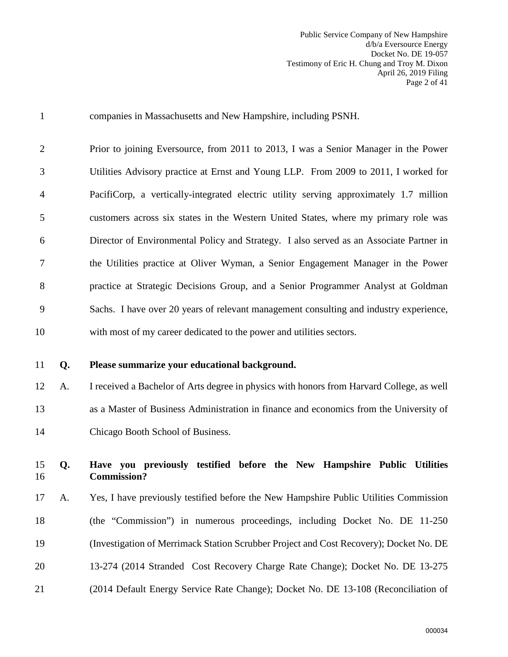| $\mathbf{1}$   |    | companies in Massachusetts and New Hampshire, including PSNH.                                 |
|----------------|----|-----------------------------------------------------------------------------------------------|
| $\overline{2}$ |    | Prior to joining Eversource, from 2011 to 2013, I was a Senior Manager in the Power           |
| 3              |    | Utilities Advisory practice at Ernst and Young LLP. From 2009 to 2011, I worked for           |
| 4              |    | PacifiCorp, a vertically-integrated electric utility serving approximately 1.7 million        |
| 5              |    | customers across six states in the Western United States, where my primary role was           |
| 6              |    | Director of Environmental Policy and Strategy. I also served as an Associate Partner in       |
| 7              |    | the Utilities practice at Oliver Wyman, a Senior Engagement Manager in the Power              |
| 8              |    | practice at Strategic Decisions Group, and a Senior Programmer Analyst at Goldman             |
| 9              |    | Sachs. I have over 20 years of relevant management consulting and industry experience,        |
| 10             |    | with most of my career dedicated to the power and utilities sectors.                          |
|                |    |                                                                                               |
| 11             | Q. | Please summarize your educational background.                                                 |
| 12             | A. | I received a Bachelor of Arts degree in physics with honors from Harvard College, as well     |
| 13             |    | as a Master of Business Administration in finance and economics from the University of        |
| 14             |    | Chicago Booth School of Business.                                                             |
| 15<br>16       | Q. | Have you previously testified before the New Hampshire Public Utilities<br><b>Commission?</b> |
| 17             | A. | Yes, I have previously testified before the New Hampshire Public Utilities Commission         |
| 18             |    | (the "Commission") in numerous proceedings, including Docket No. DE 11-250                    |
| 19             |    | (Investigation of Merrimack Station Scrubber Project and Cost Recovery); Docket No. DE        |

21 (2014 Default Energy Service Rate Change); Docket No. DE 13-108 (Reconciliation of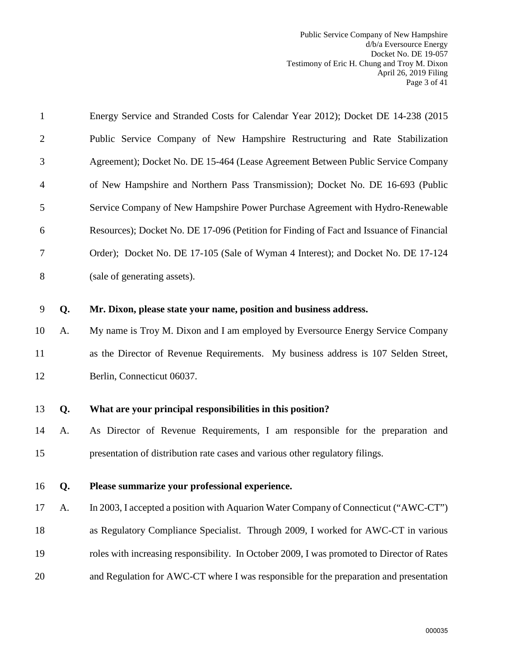| $\mathbf{1}$   |    | Energy Service and Stranded Costs for Calendar Year 2012); Docket DE 14-238 (2015)         |
|----------------|----|--------------------------------------------------------------------------------------------|
| $\overline{2}$ |    | Public Service Company of New Hampshire Restructuring and Rate Stabilization               |
| 3              |    | Agreement); Docket No. DE 15-464 (Lease Agreement Between Public Service Company           |
| 4              |    | of New Hampshire and Northern Pass Transmission); Docket No. DE 16-693 (Public             |
| 5              |    | Service Company of New Hampshire Power Purchase Agreement with Hydro-Renewable             |
| 6              |    | Resources); Docket No. DE 17-096 (Petition for Finding of Fact and Issuance of Financial   |
| 7              |    | Order); Docket No. DE 17-105 (Sale of Wyman 4 Interest); and Docket No. DE 17-124          |
| $8\,$          |    | (sale of generating assets).                                                               |
| 9              | Q. | Mr. Dixon, please state your name, position and business address.                          |
| 10             | A. | My name is Troy M. Dixon and I am employed by Eversource Energy Service Company            |
|                |    |                                                                                            |
| 11             |    | as the Director of Revenue Requirements. My business address is 107 Selden Street,         |
| 12             |    | Berlin, Connecticut 06037.                                                                 |
| 13             | Q. | What are your principal responsibilities in this position?                                 |
| 14             | A. | As Director of Revenue Requirements, I am responsible for the preparation and              |
| 15             |    | presentation of distribution rate cases and various other regulatory filings.              |
| 16             | Q. | Please summarize your professional experience.                                             |
|                |    |                                                                                            |
| 17             | A. | In 2003, I accepted a position with Aquarion Water Company of Connecticut ("AWC-CT")       |
| 18             |    | as Regulatory Compliance Specialist. Through 2009, I worked for AWC-CT in various          |
| 19             |    | roles with increasing responsibility. In October 2009, I was promoted to Director of Rates |
| 20             |    | and Regulation for AWC-CT where I was responsible for the preparation and presentation     |
|                |    |                                                                                            |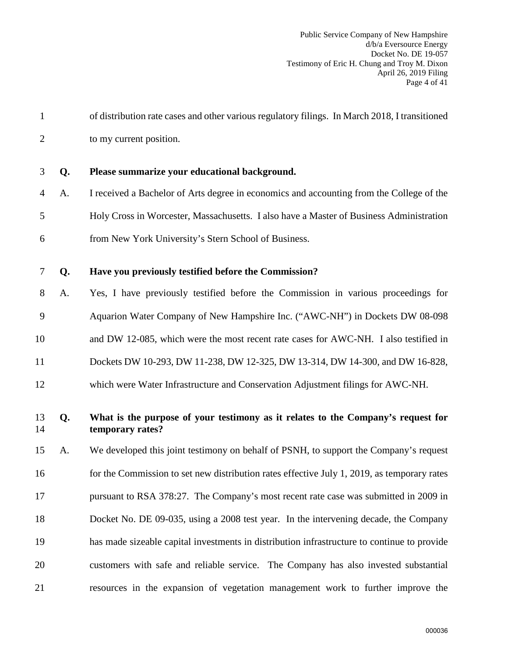| $\mathbf{1}$   |    | of distribution rate cases and other various regulatory filings. In March 2018, I transitioned       |
|----------------|----|------------------------------------------------------------------------------------------------------|
| $\overline{2}$ |    | to my current position.                                                                              |
| 3              | Q. | Please summarize your educational background.                                                        |
| 4              | A. | I received a Bachelor of Arts degree in economics and accounting from the College of the             |
| 5              |    | Holy Cross in Worcester, Massachusetts. I also have a Master of Business Administration              |
| 6              |    | from New York University's Stern School of Business.                                                 |
| $\tau$         | Q. | Have you previously testified before the Commission?                                                 |
| 8              | A. | Yes, I have previously testified before the Commission in various proceedings for                    |
| 9              |    | Aquarion Water Company of New Hampshire Inc. ("AWC-NH") in Dockets DW 08-098                         |
| 10             |    | and DW 12-085, which were the most recent rate cases for AWC-NH. I also testified in                 |
| 11             |    | Dockets DW 10-293, DW 11-238, DW 12-325, DW 13-314, DW 14-300, and DW 16-828,                        |
| 12             |    | which were Water Infrastructure and Conservation Adjustment filings for AWC-NH.                      |
| 13<br>14       | Q. | What is the purpose of your testimony as it relates to the Company's request for<br>temporary rates? |
| 15             | A. | We developed this joint testimony on behalf of PSNH, to support the Company's request                |
| 16             |    | for the Commission to set new distribution rates effective July 1, 2019, as temporary rates          |
| 17             |    | pursuant to RSA 378:27. The Company's most recent rate case was submitted in 2009 in                 |
| 18             |    | Docket No. DE 09-035, using a 2008 test year. In the intervening decade, the Company                 |
| 19             |    | has made sizeable capital investments in distribution infrastructure to continue to provide          |
| 20             |    | customers with safe and reliable service. The Company has also invested substantial                  |
| 21             |    | resources in the expansion of vegetation management work to further improve the                      |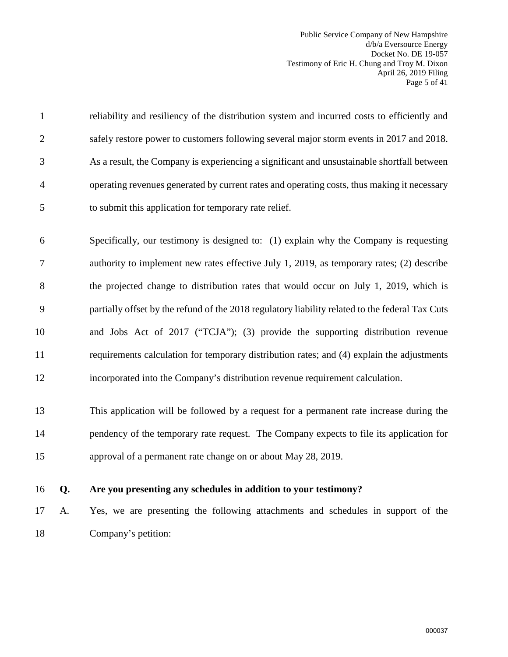Public Service Company of New Hampshire d/b/a Eversource Energy Docket No. DE 19-057 Testimony of Eric H. Chung and Troy M. Dixon April 26, 2019 Filing Page 5 of 41

1 reliability and resiliency of the distribution system and incurred costs to efficiently and 2 safely restore power to customers following several major storm events in 2017 and 2018. 3 As a result, the Company is experiencing a significant and unsustainable shortfall between 4 operating revenues generated by current rates and operating costs, thus making it necessary 5 to submit this application for temporary rate relief. 6 Specifically, our testimony is designed to: (1) explain why the Company is requesting 7 authority to implement new rates effective July 1, 2019, as temporary rates; (2) describe 8 the projected change to distribution rates that would occur on July 1, 2019, which is 9 partially offset by the refund of the 2018 regulatory liability related to the federal Tax Cuts 10 and Jobs Act of 2017 ("TCJA"); (3) provide the supporting distribution revenue 11 requirements calculation for temporary distribution rates; and (4) explain the adjustments

12 incorporated into the Company's distribution revenue requirement calculation.

13 This application will be followed by a request for a permanent rate increase during the 14 pendency of the temporary rate request. The Company expects to file its application for 15 approval of a permanent rate change on or about May 28, 2019.

#### 16 **Q. Are you presenting any schedules in addition to your testimony?**

17 A. Yes, we are presenting the following attachments and schedules in support of the 18 Company's petition: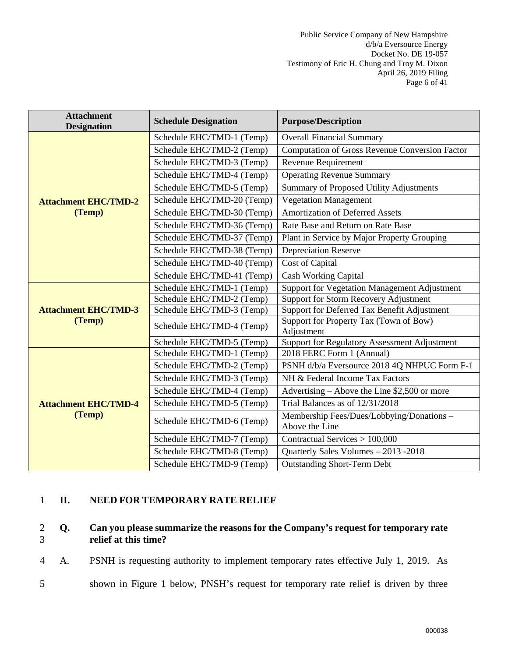| <b>Attachment</b><br><b>Designation</b> | <b>Schedule Designation</b> | <b>Purpose/Description</b>                                  |
|-----------------------------------------|-----------------------------|-------------------------------------------------------------|
|                                         | Schedule EHC/TMD-1 (Temp)   | <b>Overall Financial Summary</b>                            |
|                                         | Schedule EHC/TMD-2 (Temp)   | <b>Computation of Gross Revenue Conversion Factor</b>       |
|                                         | Schedule EHC/TMD-3 (Temp)   | <b>Revenue Requirement</b>                                  |
|                                         | Schedule EHC/TMD-4 (Temp)   | <b>Operating Revenue Summary</b>                            |
|                                         | Schedule EHC/TMD-5 (Temp)   | Summary of Proposed Utility Adjustments                     |
| <b>Attachment EHC/TMD-2</b>             | Schedule EHC/TMD-20 (Temp)  | <b>Vegetation Management</b>                                |
| (Temp)                                  | Schedule EHC/TMD-30 (Temp)  | <b>Amortization of Deferred Assets</b>                      |
|                                         | Schedule EHC/TMD-36 (Temp)  | Rate Base and Return on Rate Base                           |
|                                         | Schedule EHC/TMD-37 (Temp)  | Plant in Service by Major Property Grouping                 |
|                                         | Schedule EHC/TMD-38 (Temp)  | <b>Depreciation Reserve</b>                                 |
|                                         | Schedule EHC/TMD-40 (Temp)  | Cost of Capital                                             |
|                                         | Schedule EHC/TMD-41 (Temp)  | <b>Cash Working Capital</b>                                 |
|                                         | Schedule EHC/TMD-1 (Temp)   | Support for Vegetation Management Adjustment                |
|                                         | Schedule EHC/TMD-2 (Temp)   | Support for Storm Recovery Adjustment                       |
| <b>Attachment EHC/TMD-3</b>             | Schedule EHC/TMD-3 (Temp)   | Support for Deferred Tax Benefit Adjustment                 |
| (Temp)                                  | Schedule EHC/TMD-4 (Temp)   | Support for Property Tax (Town of Bow)<br>Adjustment        |
|                                         | Schedule EHC/TMD-5 (Temp)   | <b>Support for Regulatory Assessment Adjustment</b>         |
|                                         | Schedule EHC/TMD-1 (Temp)   | 2018 FERC Form 1 (Annual)                                   |
|                                         | Schedule EHC/TMD-2 (Temp)   | PSNH d/b/a Eversource 2018 4Q NHPUC Form F-1                |
|                                         | Schedule EHC/TMD-3 (Temp)   | NH & Federal Income Tax Factors                             |
|                                         | Schedule EHC/TMD-4 (Temp)   | Advertising – Above the Line \$2,500 or more                |
| <b>Attachment EHC/TMD-4</b>             | Schedule EHC/TMD-5 (Temp)   | Trial Balances as of 12/31/2018                             |
| (Temp)                                  | Schedule EHC/TMD-6 (Temp)   | Membership Fees/Dues/Lobbying/Donations -<br>Above the Line |
|                                         | Schedule EHC/TMD-7 (Temp)   | Contractual Services > 100,000                              |
|                                         | Schedule EHC/TMD-8 (Temp)   | Quarterly Sales Volumes - 2013 - 2018                       |
|                                         | Schedule EHC/TMD-9 (Temp)   | Outstanding Short-Term Debt                                 |

## <span id="page-7-0"></span>1 **II. NEED FOR TEMPORARY RATE RELIEF**

#### 2 **Q. Can you please summarize the reasons for the Company's request for temporary rate**  3 **relief at this time?**

4 A. PSNH is requesting authority to implement temporary rates effective July 1, 2019. As

5 shown in Figure 1 below, PNSH's request for temporary rate relief is driven by three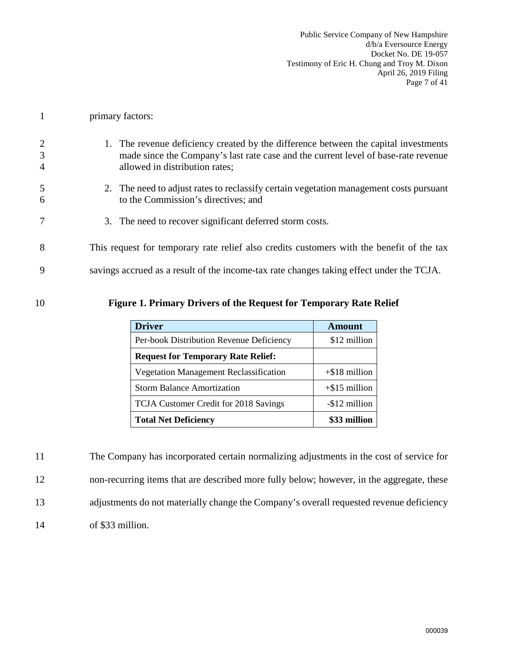- 1 primary factors:
- 2 1. The revenue deficiency created by the difference between the capital investments 3 made since the Company's last rate case and the current level of base-rate revenue 4 allowed in distribution rates;
- 5 2. The need to adjust rates to reclassify certain vegetation management costs pursuant 6 to the Commission's directives; and
- 7 3. The need to recover significant deferred storm costs.
- 8 This request for temporary rate relief also credits customers with the benefit of the tax
- 9 savings accrued as a result of the income-tax rate changes taking effect under the TCJA.

#### 10 **Figure 1. Primary Drivers of the Request for Temporary Rate Relief**

| <b>Driver</b>                                 | <b>Amount</b>    |
|-----------------------------------------------|------------------|
| Per-book Distribution Revenue Deficiency      | \$12 million     |
| <b>Request for Temporary Rate Relief:</b>     |                  |
| <b>Vegetation Management Reclassification</b> | $+$ \$18 million |
| <b>Storm Balance Amortization</b>             | $+$ \$15 million |
| TCJA Customer Credit for 2018 Savings         | -\$12 million    |
| <b>Total Net Deficiency</b>                   | \$33 million     |

| 11 | The Company has incorporated certain normalizing adjustments in the cost of service for   |
|----|-------------------------------------------------------------------------------------------|
| 12 | non-recurring items that are described more fully below; however, in the aggregate, these |
| 13 | adjustments do not materially change the Company's overall requested revenue deficiency   |
| 14 | of \$33 million.                                                                          |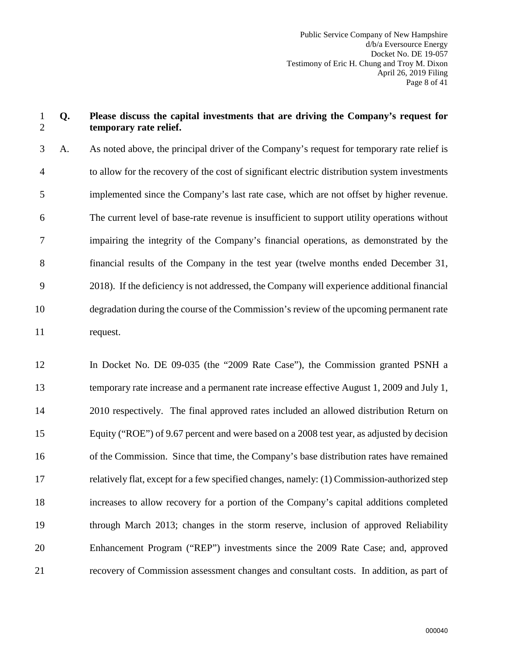#### 1 **Q. Please discuss the capital investments that are driving the Company's request for**  2 **temporary rate relief.**

3 A. As noted above, the principal driver of the Company's request for temporary rate relief is 4 to allow for the recovery of the cost of significant electric distribution system investments 5 implemented since the Company's last rate case, which are not offset by higher revenue. 6 The current level of base-rate revenue is insufficient to support utility operations without 7 impairing the integrity of the Company's financial operations, as demonstrated by the 8 financial results of the Company in the test year (twelve months ended December 31, 9 2018). If the deficiency is not addressed, the Company will experience additional financial 10 degradation during the course of the Commission's review of the upcoming permanent rate 11 request.

12 In Docket No. DE 09-035 (the "2009 Rate Case"), the Commission granted PSNH a 13 temporary rate increase and a permanent rate increase effective August 1, 2009 and July 1, 14 2010 respectively. The final approved rates included an allowed distribution Return on 15 Equity ("ROE") of 9.67 percent and were based on a 2008 test year, as adjusted by decision 16 of the Commission. Since that time, the Company's base distribution rates have remained 17 relatively flat, except for a few specified changes, namely: (1) Commission-authorized step 18 increases to allow recovery for a portion of the Company's capital additions completed 19 through March 2013; changes in the storm reserve, inclusion of approved Reliability 20 Enhancement Program ("REP") investments since the 2009 Rate Case; and, approved 21 recovery of Commission assessment changes and consultant costs. In addition, as part of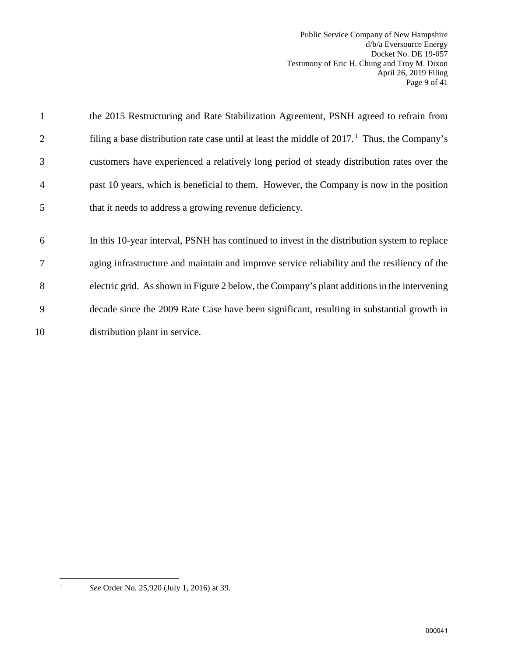Public Service Company of New Hampshire d/b/a Eversource Energy Docket No. DE 19-057 Testimony of Eric H. Chung and Troy M. Dixon April 26, 2019 Filing Page 9 of 41

| 1              | the 2015 Restructuring and Rate Stabilization Agreement, PSNH agreed to refrain from            |
|----------------|-------------------------------------------------------------------------------------------------|
| 2              | filing a base distribution rate case until at least the middle of $20171$ . Thus, the Company's |
| 3              | customers have experienced a relatively long period of steady distribution rates over the       |
| $\overline{4}$ | past 10 years, which is beneficial to them. However, the Company is now in the position         |
| 5              | that it needs to address a growing revenue deficiency.                                          |
|                |                                                                                                 |
| 6              | In this 10-year interval, PSNH has continued to invest in the distribution system to replace    |
| 7              | aging infrastructure and maintain and improve service reliability and the resiliency of the     |
|                |                                                                                                 |
| 8              | electric grid. As shown in Figure 2 below, the Company's plant additions in the intervening     |
| 9              | decade since the 2009 Rate Case have been significant, resulting in substantial growth in       |

<span id="page-10-0"></span> $\frac{1}{1}$ 

*See* Order No. 25,920 (July 1, 2016) at 39.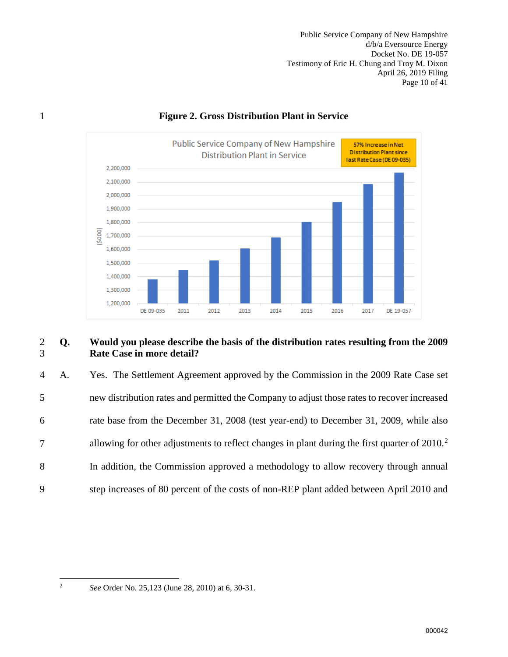Public Service Company of New Hampshire d/b/a Eversource Energy Docket No. DE 19-057 Testimony of Eric H. Chung and Troy M. Dixon April 26, 2019 Filing Page 10 of 41



## 1 **Figure 2. Gross Distribution Plant in Service**

#### 2 **Q. Would you please describe the basis of the distribution rates resulting from the 2009**  3 **Rate Case in more detail?**

4 A. Yes. The Settlement Agreement approved by the Commission in the 2009 Rate Case set 5 new distribution rates and permitted the Company to adjust those rates to recover increased 6 rate base from the December 31, 2008 (test year-end) to December 31, 2009, while also allowing for other adjustments to reflect changes in plant during the first quarter of  $2010<sup>2</sup>$  $2010<sup>2</sup>$ 8 In addition, the Commission approved a methodology to allow recovery through annual 9 step increases of 80 percent of the costs of non-REP plant added between April 2010 and

<span id="page-11-0"></span> $\frac{1}{2}$ 

*See* Order No. 25,123 (June 28, 2010) at 6, 30-31.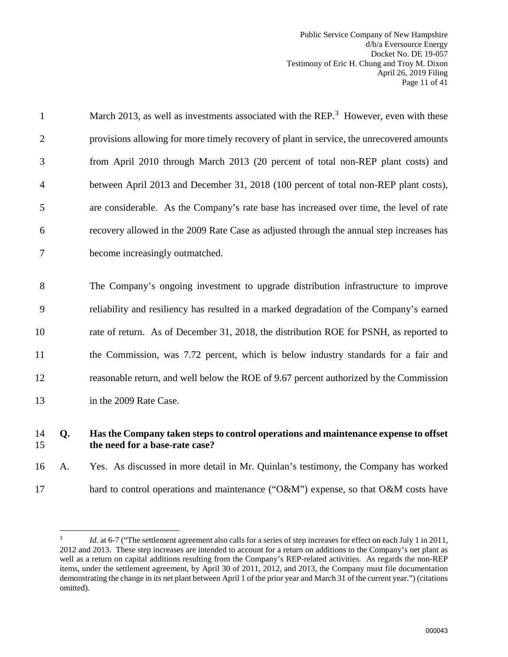Public Service Company of New Hampshire d/b/a Eversource Energy Docket No. DE 19-057 Testimony of Eric H. Chung and Troy M. Dixon April 26, 2019 Filing Page 11 of 41

| $\mathbf{1}$   | March 2013, as well as investments associated with the REP. <sup>3</sup> However, even with these |
|----------------|---------------------------------------------------------------------------------------------------|
| $\overline{2}$ | provisions allowing for more timely recovery of plant in service, the unrecovered amounts         |
| 3              | from April 2010 through March 2013 (20 percent of total non-REP plant costs) and                  |
| 4              | between April 2013 and December 31, 2018 (100 percent of total non-REP plant costs),              |
| 5              | are considerable. As the Company's rate base has increased over time, the level of rate           |
| 6              | recovery allowed in the 2009 Rate Case as adjusted through the annual step increases has          |
| 7              | become increasingly outmatched.                                                                   |
|                |                                                                                                   |
| 8              | The Company's ongoing investment to upgrade distribution infrastructure to improve                |
| 9              | reliability and resiliency has resulted in a marked degradation of the Company's earned           |
| 10             | rate of return. As of December 31, 2018, the distribution ROE for PSNH, as reported to            |
| 11             | the Commission, was 7.72 percent, which is below industry standards for a fair and                |
| 12             | reasonable return, and well below the ROE of 9.67 percent authorized by the Commission            |
| 13             | in the 2009 Rate Case.                                                                            |
|                |                                                                                                   |

## 14 **Q. Has the Company taken steps to control operations and maintenance expense to offset**  15 **the need for a base-rate case?**

16 A. Yes. As discussed in more detail in Mr. Quinlan's testimony, the Company has worked 17 hard to control operations and maintenance ("O&M") expense, so that O&M costs have

<span id="page-12-0"></span> $\frac{1}{3}$ *Id.* at 6-7 ("The settlement agreement also calls for a series of step increases for effect on each July 1 in 2011, 2012 and 2013. These step increases are intended to account for a return on additions to the Company's net plant as well as a return on capital additions resulting from the Company's REP-related activities. As regards the non-REP items, under the settlement agreement, by April 30 of 2011, 2012, and 2013, the Company must file documentation demonstrating the change in its net plant between April 1 of the prior year and March 31 of the current year.") (citations omitted).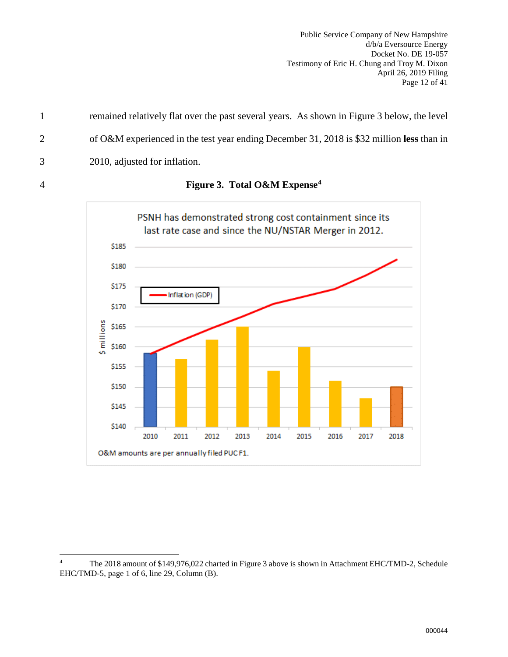Public Service Company of New Hampshire d/b/a Eversource Energy Docket No. DE 19-057 Testimony of Eric H. Chung and Troy M. Dixon April 26, 2019 Filing Page 12 of 41

1 remained relatively flat over the past several years. As shown in Figure 3 below, the level 2 of O&M experienced in the test year ending December 31, 2018 is \$32 million **less** than in 3 2010, adjusted for inflation.



**Figure 3. Total O&M Expense[4](#page-13-0)** 4

<span id="page-13-0"></span> $\overline{a}$ 4 The 2018 amount of \$149,976,022 charted in Figure 3 above is shown in Attachment EHC/TMD-2, Schedule EHC/TMD-5, page 1 of 6, line 29, Column (B).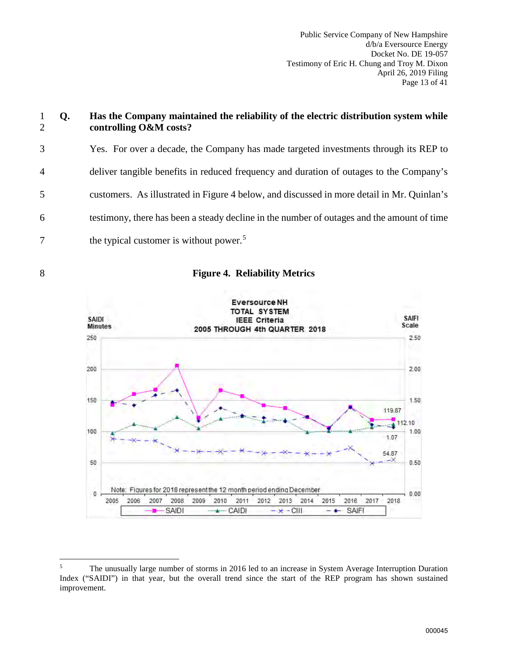| $\mathbf{1}$<br>$\overline{2}$ | Q. | Has the Company maintained the reliability of the electric distribution system while<br>controlling O&M costs? |
|--------------------------------|----|----------------------------------------------------------------------------------------------------------------|
| 3                              |    | Yes. For over a decade, the Company has made targeted investments through its REP to                           |
| $\overline{4}$                 |    | deliver tangible benefits in reduced frequency and duration of outages to the Company's                        |
| 5                              |    | customers. As illustrated in Figure 4 below, and discussed in more detail in Mr. Quinlan's                     |
| 6                              |    | testimony, there has been a steady decline in the number of outages and the amount of time                     |
| 7                              |    | the typical customer is without power. <sup>5</sup>                                                            |
|                                |    |                                                                                                                |



#### 8 **Figure 4. Reliability Metrics**



<span id="page-14-0"></span> $\frac{1}{5}$  The unusually large number of storms in 2016 led to an increase in System Average Interruption Duration Index ("SAIDI") in that year, but the overall trend since the start of the REP program has shown sustained improvement.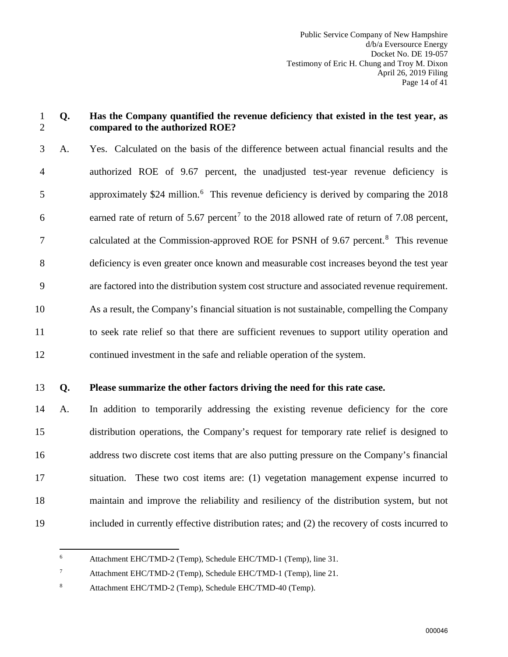#### 1 **Q. Has the Company quantified the revenue deficiency that existed in the test year, as**  2 **compared to the authorized ROE?**

3 A. Yes. Calculated on the basis of the difference between actual financial results and the 4 authorized ROE of 9.67 percent, the unadjusted test-year revenue deficiency is 5 approximately \$24 million.<sup>[6](#page-15-0)</sup> This revenue deficiency is derived by comparing the 2018 6 earned rate of return of 5.6[7](#page-15-1) percent<sup>7</sup> to the 2018 allowed rate of return of 7.08 percent, 7 calculated at the Commission-approved ROE for PSNH of 9.67 percent.<sup>8</sup> This revenue 8 deficiency is even greater once known and measurable cost increases beyond the test year 9 are factored into the distribution system cost structure and associated revenue requirement. 10 As a result, the Company's financial situation is not sustainable, compelling the Company 11 to seek rate relief so that there are sufficient revenues to support utility operation and 12 continued investment in the safe and reliable operation of the system.

#### 13 **Q. Please summarize the other factors driving the need for this rate case.**

14 A. In addition to temporarily addressing the existing revenue deficiency for the core 15 distribution operations, the Company's request for temporary rate relief is designed to 16 address two discrete cost items that are also putting pressure on the Company's financial 17 situation. These two cost items are: (1) vegetation management expense incurred to 18 maintain and improve the reliability and resiliency of the distribution system, but not 19 included in currently effective distribution rates; and (2) the recovery of costs incurred to

<span id="page-15-0"></span> $\frac{1}{6}$ Attachment EHC/TMD-2 (Temp), Schedule EHC/TMD-1 (Temp), line 31.

<span id="page-15-1"></span>7 Attachment EHC/TMD-2 (Temp), Schedule EHC/TMD-1 (Temp), line 21.

<span id="page-15-2"></span><sup>8</sup> Attachment EHC/TMD-2 (Temp), Schedule EHC/TMD-40 (Temp).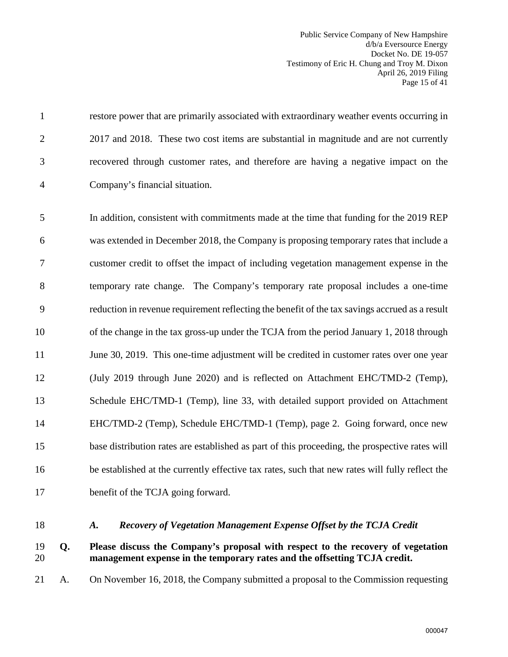Public Service Company of New Hampshire d/b/a Eversource Energy Docket No. DE 19-057 Testimony of Eric H. Chung and Troy M. Dixon April 26, 2019 Filing Page 15 of 41

1 restore power that are primarily associated with extraordinary weather events occurring in 2 2017 and 2018. These two cost items are substantial in magnitude and are not currently 3 recovered through customer rates, and therefore are having a negative impact on the 4 Company's financial situation.

5 In addition, consistent with commitments made at the time that funding for the 2019 REP 6 was extended in December 2018, the Company is proposing temporary rates that include a 7 customer credit to offset the impact of including vegetation management expense in the 8 temporary rate change. The Company's temporary rate proposal includes a one-time 9 reduction in revenue requirement reflecting the benefit of the tax savings accrued as a result 10 of the change in the tax gross-up under the TCJA from the period January 1, 2018 through 11 June 30, 2019. This one-time adjustment will be credited in customer rates over one year 12 (July 2019 through June 2020) and is reflected on Attachment EHC/TMD-2 (Temp), 13 Schedule EHC/TMD-1 (Temp), line 33, with detailed support provided on Attachment 14 EHC/TMD-2 (Temp), Schedule EHC/TMD-1 (Temp), page 2. Going forward, once new 15 base distribution rates are established as part of this proceeding, the prospective rates will 16 be established at the currently effective tax rates, such that new rates will fully reflect the 17 benefit of the TCJA going forward.

<span id="page-16-0"></span>

#### 18 *A. Recovery of Vegetation Management Expense Offset by the TCJA Credit*

#### 19 **Q. Please discuss the Company's proposal with respect to the recovery of vegetation**  20 **management expense in the temporary rates and the offsetting TCJA credit.**

21 A. On November 16, 2018, the Company submitted a proposal to the Commission requesting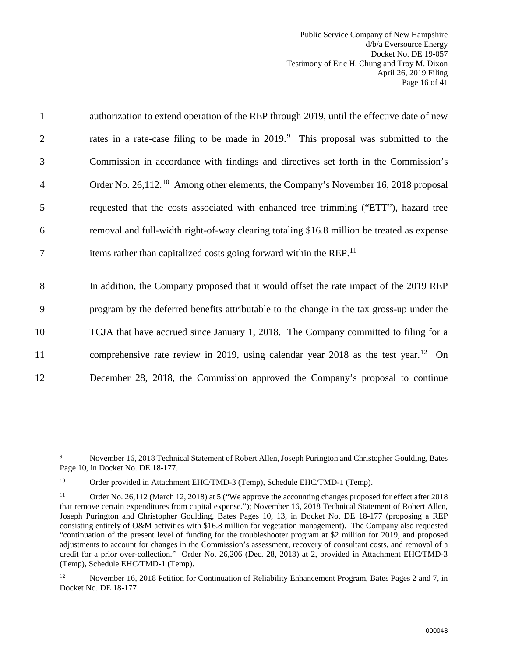| $\mathbf{1}$   | authorization to extend operation of the REP through 2019, until the effective date of new      |
|----------------|-------------------------------------------------------------------------------------------------|
| $\overline{2}$ | rates in a rate-case filing to be made in 2019. <sup>9</sup> This proposal was submitted to the |
| 3              | Commission in accordance with findings and directives set forth in the Commission's             |
| $\overline{4}$ | Order No. 26,112. <sup>10</sup> Among other elements, the Company's November 16, 2018 proposal  |
| 5              | requested that the costs associated with enhanced tree trimming ("ETT"), hazard tree            |
| 6              | removal and full-width right-of-way clearing totaling \$16.8 million be treated as expense      |
| $\overline{7}$ | items rather than capitalized costs going forward within the REP. <sup>11</sup>                 |
| 8              | In addition, the Company proposed that it would offset the rate impact of the 2019 REP          |
| 9              | program by the deferred benefits attributable to the change in the tax gross-up under the       |
| 10             | TCJA that have accrued since January 1, 2018. The Company committed to filing for a             |
| 11             | comprehensive rate review in 2019, using calendar year 2018 as the test year. <sup>12</sup> On  |
| 12             | December 28, 2018, the Commission approved the Company's proposal to continue                   |

<span id="page-17-0"></span><sup>-&</sup>lt;br>9 November 16, 2018 Technical Statement of Robert Allen, Joseph Purington and Christopher Goulding, Bates Page 10, in Docket No. DE 18-177.

<span id="page-17-1"></span><sup>&</sup>lt;sup>10</sup> Order provided in Attachment EHC/TMD-3 (Temp), Schedule EHC/TMD-1 (Temp).

<span id="page-17-2"></span><sup>11</sup> Order No. 26,112 (March 12, 2018) at 5 ("We approve the accounting changes proposed for effect after 2018 that remove certain expenditures from capital expense."); November 16, 2018 Technical Statement of Robert Allen, Joseph Purington and Christopher Goulding, Bates Pages 10, 13, in Docket No. DE 18-177 (proposing a REP consisting entirely of O&M activities with \$16.8 million for vegetation management). The Company also requested "continuation of the present level of funding for the troubleshooter program at \$2 million for 2019, and proposed adjustments to account for changes in the Commission's assessment, recovery of consultant costs, and removal of a credit for a prior over-collection." Order No. 26,206 (Dec. 28, 2018) at 2, provided in Attachment EHC/TMD-3 (Temp), Schedule EHC/TMD-1 (Temp).

<span id="page-17-3"></span><sup>&</sup>lt;sup>12</sup> November 16, 2018 Petition for Continuation of Reliability Enhancement Program, Bates Pages 2 and 7, in Docket No. DE 18-177.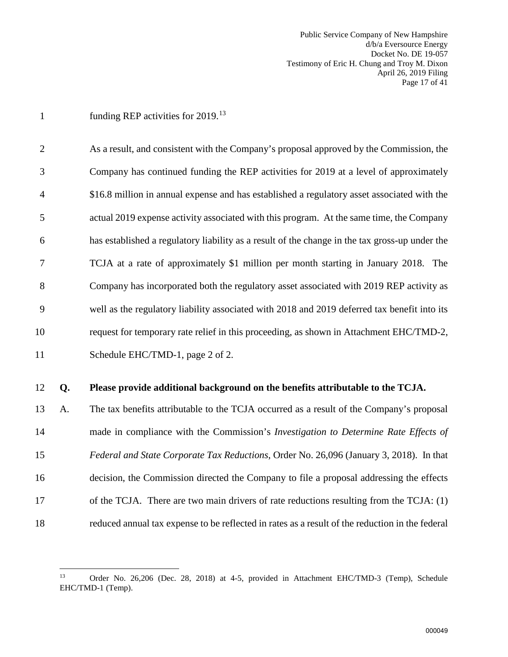Public Service Company of New Hampshire d/b/a Eversource Energy Docket No. DE 19-057 Testimony of Eric H. Chung and Troy M. Dixon April 26, 2019 Filing Page 17 of 41

1 funding REP activities for  $2019$ <sup>[13](#page-18-0)</sup>

 $\overline{a}$ 

2 As a result, and consistent with the Company's proposal approved by the Commission, the 3 Company has continued funding the REP activities for 2019 at a level of approximately 4 \$16.8 million in annual expense and has established a regulatory asset associated with the 5 actual 2019 expense activity associated with this program. At the same time, the Company 6 has established a regulatory liability as a result of the change in the tax gross-up under the 7 TCJA at a rate of approximately \$1 million per month starting in January 2018. The 8 Company has incorporated both the regulatory asset associated with 2019 REP activity as 9 well as the regulatory liability associated with 2018 and 2019 deferred tax benefit into its 10 request for temporary rate relief in this proceeding, as shown in Attachment EHC/TMD-2, 11 Schedule EHC/TMD-1, page 2 of 2.

#### 12 **Q. Please provide additional background on the benefits attributable to the TCJA.**

13 A. The tax benefits attributable to the TCJA occurred as a result of the Company's proposal 14 made in compliance with the Commission's *Investigation to Determine Rate Effects of*  15 *Federal and State Corporate Tax Reductions*, Order No. 26,096 (January 3, 2018). In that 16 decision, the Commission directed the Company to file a proposal addressing the effects 17 of the TCJA. There are two main drivers of rate reductions resulting from the TCJA: (1) 18 reduced annual tax expense to be reflected in rates as a result of the reduction in the federal

<span id="page-18-0"></span><sup>13</sup> Order No. 26,206 (Dec. 28, 2018) at 4-5, provided in Attachment EHC/TMD-3 (Temp), Schedule EHC/TMD-1 (Temp).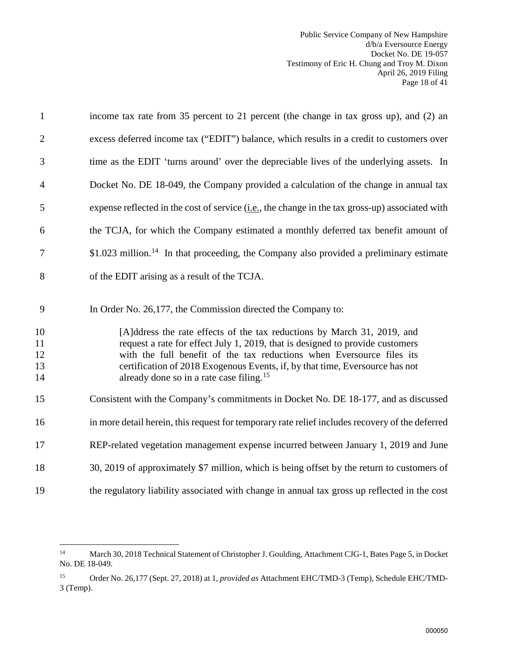Public Service Company of New Hampshire d/b/a Eversource Energy Docket No. DE 19-057 Testimony of Eric H. Chung and Troy M. Dixon April 26, 2019 Filing Page 18 of 41

| $\mathbf{1}$               | income tax rate from 35 percent to 21 percent (the change in tax gross up), and (2) an                                                                                                                                                                                                                                                                                    |
|----------------------------|---------------------------------------------------------------------------------------------------------------------------------------------------------------------------------------------------------------------------------------------------------------------------------------------------------------------------------------------------------------------------|
| $\mathfrak{2}$             | excess deferred income tax ("EDIT") balance, which results in a credit to customers over                                                                                                                                                                                                                                                                                  |
| 3                          | time as the EDIT 'turns around' over the depreciable lives of the underlying assets. In                                                                                                                                                                                                                                                                                   |
| 4                          | Docket No. DE 18-049, the Company provided a calculation of the change in annual tax                                                                                                                                                                                                                                                                                      |
| 5                          | expense reflected in the cost of service $(i.e.,$ the change in the tax gross-up) associated with                                                                                                                                                                                                                                                                         |
| 6                          | the TCJA, for which the Company estimated a monthly deferred tax benefit amount of                                                                                                                                                                                                                                                                                        |
| 7                          | $$1.023$ million. <sup>14</sup> In that proceeding, the Company also provided a preliminary estimate                                                                                                                                                                                                                                                                      |
| 8                          | of the EDIT arising as a result of the TCJA.                                                                                                                                                                                                                                                                                                                              |
| 9                          | In Order No. 26,177, the Commission directed the Company to:                                                                                                                                                                                                                                                                                                              |
| 10<br>11<br>12<br>13<br>14 | [A]ddress the rate effects of the tax reductions by March 31, 2019, and<br>request a rate for effect July 1, 2019, that is designed to provide customers<br>with the full benefit of the tax reductions when Eversource files its<br>certification of 2018 Exogenous Events, if, by that time, Eversource has not<br>already done so in a rate case filing. <sup>15</sup> |
| 15                         | Consistent with the Company's commitments in Docket No. DE 18-177, and as discussed                                                                                                                                                                                                                                                                                       |
| 16                         | in more detail herein, this request for temporary rate relief includes recovery of the deferred                                                                                                                                                                                                                                                                           |
| 17                         | REP-related vegetation management expense incurred between January 1, 2019 and June                                                                                                                                                                                                                                                                                       |
| 18                         | 30, 2019 of approximately \$7 million, which is being offset by the return to customers of                                                                                                                                                                                                                                                                                |
| 19                         | the regulatory liability associated with change in annual tax gross up reflected in the cost                                                                                                                                                                                                                                                                              |
|                            |                                                                                                                                                                                                                                                                                                                                                                           |

<span id="page-19-0"></span> $14\,$ 14 March 30, 2018 Technical Statement of Christopher J. Goulding, Attachment CJG-1, Bates Page 5, in Docket No. DE 18-049.

<span id="page-19-1"></span><sup>15</sup> Order No. 26,177 (Sept. 27, 2018) at 1, *provided as* Attachment EHC/TMD-3 (Temp), Schedule EHC/TMD-3 (Temp).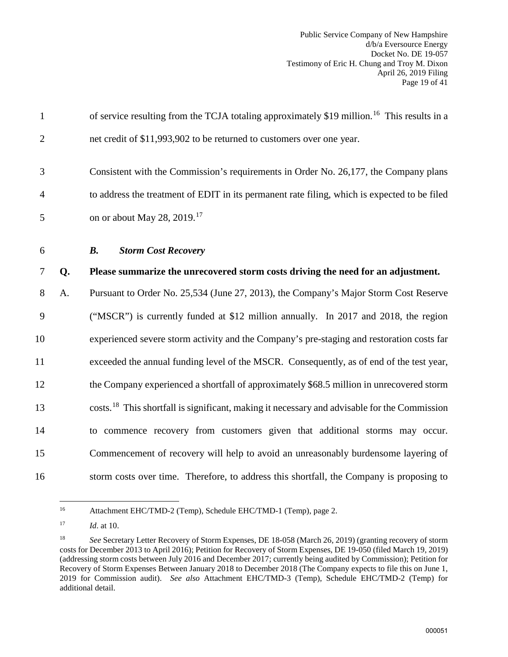Public Service Company of New Hampshire d/b/a Eversource Energy Docket No. DE 19-057 Testimony of Eric H. Chung and Troy M. Dixon April 26, 2019 Filing Page 19 of 41

<span id="page-20-0"></span>

| $\mathbf{1}$   |    | of service resulting from the TCJA totaling approximately \$19 million. <sup>16</sup> This results in a  |
|----------------|----|----------------------------------------------------------------------------------------------------------|
| $\overline{2}$ |    | net credit of \$11,993,902 to be returned to customers over one year.                                    |
| 3              |    | Consistent with the Commission's requirements in Order No. 26,177, the Company plans                     |
| $\overline{4}$ |    | to address the treatment of EDIT in its permanent rate filing, which is expected to be filed             |
| 5              |    | on or about May 28, 2019. <sup>17</sup>                                                                  |
| 6              |    | <b>Storm Cost Recovery</b><br><b>B.</b>                                                                  |
| $\overline{7}$ | Q. | Please summarize the unrecovered storm costs driving the need for an adjustment.                         |
| 8              | A. | Pursuant to Order No. 25,534 (June 27, 2013), the Company's Major Storm Cost Reserve                     |
| 9              |    | ("MSCR") is currently funded at \$12 million annually. In 2017 and 2018, the region                      |
| 10             |    | experienced severe storm activity and the Company's pre-staging and restoration costs far                |
| 11             |    | exceeded the annual funding level of the MSCR. Consequently, as of end of the test year,                 |
| 12             |    | the Company experienced a shortfall of approximately \$68.5 million in unrecovered storm                 |
| 13             |    | costs. <sup>18</sup> This shortfall is significant, making it necessary and advisable for the Commission |
| 14             |    | to commence recovery from customers given that additional storms may occur.                              |
| 15             |    | Commencement of recovery will help to avoid an unreasonably burdensome layering of                       |
| 16             |    | storm costs over time. Therefore, to address this shortfall, the Company is proposing to                 |

<span id="page-20-1"></span><sup>16</sup> Attachment EHC/TMD-2 (Temp), Schedule EHC/TMD-1 (Temp), page 2.

<span id="page-20-2"></span><sup>17</sup> *Id*. at 10.

<span id="page-20-3"></span><sup>18</sup> *See* Secretary Letter Recovery of Storm Expenses, DE 18-058 (March 26, 2019) (granting recovery of storm costs for December 2013 to April 2016); Petition for Recovery of Storm Expenses, DE 19-050 (filed March 19, 2019) (addressing storm costs between July 2016 and December 2017; currently being audited by Commission); Petition for Recovery of Storm Expenses Between January 2018 to December 2018 (The Company expects to file this on June 1, 2019 for Commission audit). *See also* Attachment EHC/TMD-3 (Temp), Schedule EHC/TMD-2 (Temp) for additional detail.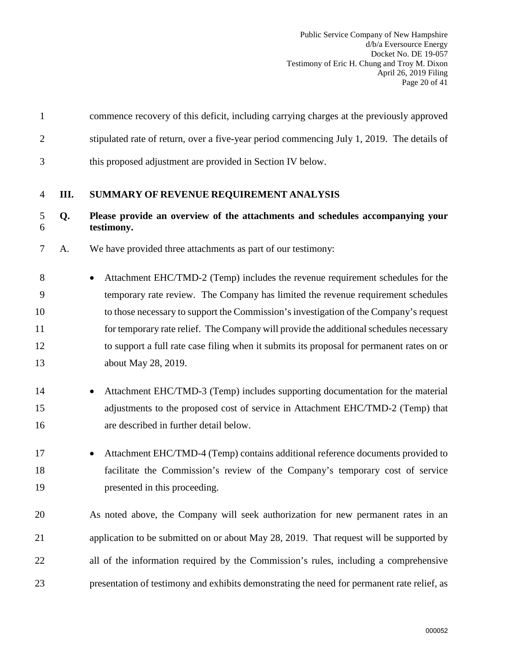<span id="page-21-0"></span>

| $\mathbf{1}$   |      | commence recovery of this deficit, including carrying charges at the previously approved     |
|----------------|------|----------------------------------------------------------------------------------------------|
| $\overline{2}$ |      | stipulated rate of return, over a five-year period commencing July 1, 2019. The details of   |
| 3              |      | this proposed adjustment are provided in Section IV below.                                   |
| 4              | III. | SUMMARY OF REVENUE REQUIREMENT ANALYSIS                                                      |
| 5<br>6         | Q.   | Please provide an overview of the attachments and schedules accompanying your<br>testimony.  |
| 7              | A.   | We have provided three attachments as part of our testimony:                                 |
| 8              |      | Attachment EHC/TMD-2 (Temp) includes the revenue requirement schedules for the               |
| 9              |      | temporary rate review. The Company has limited the revenue requirement schedules             |
| 10             |      | to those necessary to support the Commission's investigation of the Company's request        |
| 11             |      | for temporary rate relief. The Company will provide the additional schedules necessary       |
| 12             |      | to support a full rate case filing when it submits its proposal for permanent rates on or    |
| 13             |      | about May 28, 2019.                                                                          |
| 14             |      | Attachment EHC/TMD-3 (Temp) includes supporting documentation for the material               |
| 15             |      | adjustments to the proposed cost of service in Attachment EHC/TMD-2 (Temp) that              |
| 16             |      | are described in further detail below.                                                       |
| 17             |      | Attachment EHC/TMD-4 (Temp) contains additional reference documents provided to<br>$\bullet$ |
| 18             |      | facilitate the Commission's review of the Company's temporary cost of service                |
| 19             |      | presented in this proceeding.                                                                |
| 20             |      | As noted above, the Company will seek authorization for new permanent rates in an            |
| 21             |      | application to be submitted on or about May 28, 2019. That request will be supported by      |
| 22             |      | all of the information required by the Commission's rules, including a comprehensive         |
| 23             |      | presentation of testimony and exhibits demonstrating the need for permanent rate relief, as  |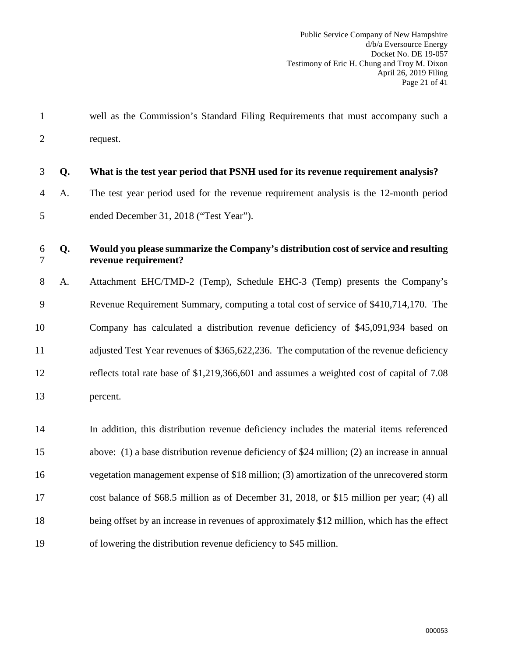1 well as the Commission's Standard Filing Requirements that must accompany such a 2 request.

| 3              | Q. | What is the test year period that PSNH used for its revenue requirement analysis?                           |
|----------------|----|-------------------------------------------------------------------------------------------------------------|
| $\overline{4}$ | A. | The test year period used for the revenue requirement analysis is the 12-month period                       |
| 5              |    | ended December 31, 2018 ("Test Year").                                                                      |
| 6<br>$\tau$    | Q. | Would you please summarize the Company's distribution cost of service and resulting<br>revenue requirement? |
| 8              | A. | Attachment EHC/TMD-2 (Temp), Schedule EHC-3 (Temp) presents the Company's                                   |
| 9              |    | Revenue Requirement Summary, computing a total cost of service of \$410,714,170. The                        |
| 10             |    | Company has calculated a distribution revenue deficiency of \$45,091,934 based on                           |
| 11             |    | adjusted Test Year revenues of \$365,622,236. The computation of the revenue deficiency                     |
| 12             |    | reflects total rate base of \$1,219,366,601 and assumes a weighted cost of capital of 7.08                  |
| 13             |    | percent.                                                                                                    |
| 14             |    | In addition, this distribution revenue deficiency includes the material items referenced                    |
| 15             |    | above: (1) a base distribution revenue deficiency of \$24 million; (2) an increase in annual                |
| 16             |    | vegetation management expense of \$18 million; (3) amortization of the unrecovered storm                    |
| 17             |    | cost balance of \$68.5 million as of December 31, 2018, or \$15 million per year; (4) all                   |
| 18             |    | being offset by an increase in revenues of approximately \$12 million, which has the effect                 |
| 19             |    | of lowering the distribution revenue deficiency to \$45 million.                                            |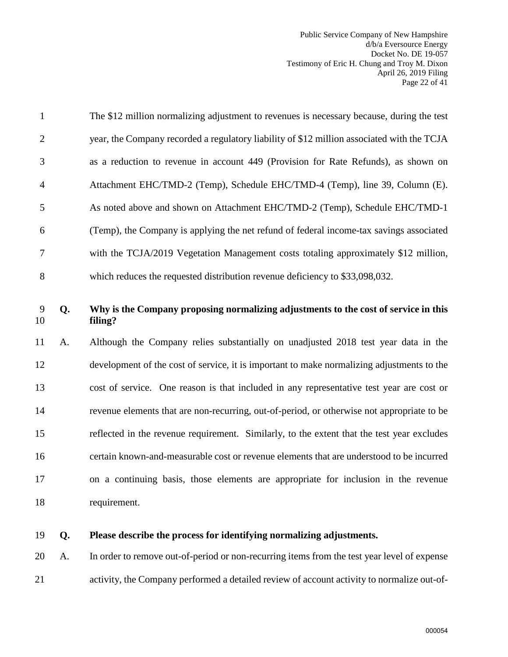Public Service Company of New Hampshire d/b/a Eversource Energy Docket No. DE 19-057 Testimony of Eric H. Chung and Troy M. Dixon April 26, 2019 Filing Page 22 of 41

| $\mathbf{1}$   |    | The \$12 million normalizing adjustment to revenues is necessary because, during the test  |
|----------------|----|--------------------------------------------------------------------------------------------|
| $\overline{2}$ |    | year, the Company recorded a regulatory liability of \$12 million associated with the TCJA |
| 3              |    | as a reduction to revenue in account 449 (Provision for Rate Refunds), as shown on         |
| $\overline{4}$ |    | Attachment EHC/TMD-2 (Temp), Schedule EHC/TMD-4 (Temp), line 39, Column (E).               |
| 5              |    | As noted above and shown on Attachment EHC/TMD-2 (Temp), Schedule EHC/TMD-1                |
| 6              |    | (Temp), the Company is applying the net refund of federal income-tax savings associated    |
| 7              |    | with the TCJA/2019 Vegetation Management costs totaling approximately \$12 million,        |
| 8              |    | which reduces the requested distribution revenue deficiency to \$33,098,032.               |
| 9              | Q. | Why is the Company proposing normalizing adjustments to the cost of service in this        |
| 10             |    | filing?                                                                                    |
| 11             | A. | Although the Company relies substantially on unadjusted 2018 test year data in the         |
| 12             |    | development of the cost of service, it is important to make normalizing adjustments to the |
| 13             |    | cost of service. One reason is that included in any representative test year are cost or   |
| 14             |    | revenue elements that are non-recurring, out-of-period, or otherwise not appropriate to be |
| 15             |    | reflected in the revenue requirement. Similarly, to the extent that the test year excludes |
| 16             |    | certain known-and-measurable cost or revenue elements that are understood to be incurred   |
| 17             |    | on a continuing basis, those elements are appropriate for inclusion in the revenue         |
| 18             |    | requirement.                                                                               |

## 19 **Q. Please describe the process for identifying normalizing adjustments.**

20 A. In order to remove out-of-period or non-recurring items from the test year level of expense 21 activity, the Company performed a detailed review of account activity to normalize out-of-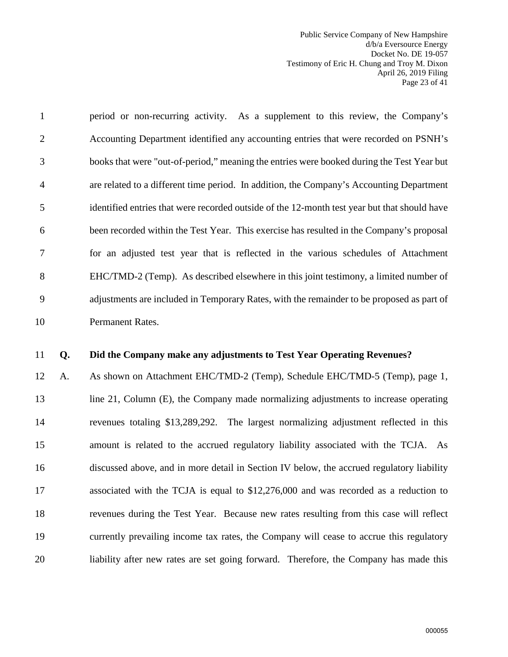Public Service Company of New Hampshire d/b/a Eversource Energy Docket No. DE 19-057 Testimony of Eric H. Chung and Troy M. Dixon April 26, 2019 Filing Page 23 of 41

1 period or non-recurring activity. As a supplement to this review, the Company's 2 Accounting Department identified any accounting entries that were recorded on PSNH's 3 books that were "out-of-period," meaning the entries were booked during the Test Year but 4 are related to a different time period. In addition, the Company's Accounting Department 5 identified entries that were recorded outside of the 12-month test year but that should have 6 been recorded within the Test Year. This exercise has resulted in the Company's proposal 7 for an adjusted test year that is reflected in the various schedules of Attachment 8 EHC/TMD-2 (Temp). As described elsewhere in this joint testimony, a limited number of 9 adjustments are included in Temporary Rates, with the remainder to be proposed as part of 10 Permanent Rates.

#### 11 **Q. Did the Company make any adjustments to Test Year Operating Revenues?**

12 A. As shown on Attachment EHC/TMD-2 (Temp), Schedule EHC/TMD-5 (Temp), page 1, 13 line 21, Column (E), the Company made normalizing adjustments to increase operating 14 revenues totaling \$13,289,292. The largest normalizing adjustment reflected in this 15 amount is related to the accrued regulatory liability associated with the TCJA. As 16 discussed above, and in more detail in Section IV below, the accrued regulatory liability 17 associated with the TCJA is equal to \$12,276,000 and was recorded as a reduction to 18 revenues during the Test Year. Because new rates resulting from this case will reflect 19 currently prevailing income tax rates, the Company will cease to accrue this regulatory 20 liability after new rates are set going forward. Therefore, the Company has made this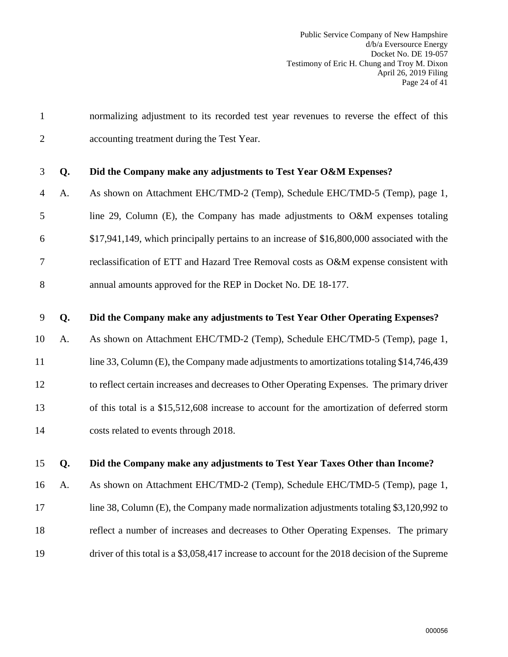| $\mathbf{1}$   |    | normalizing adjustment to its recorded test year revenues to reverse the effect of this        |
|----------------|----|------------------------------------------------------------------------------------------------|
| $\overline{2}$ |    | accounting treatment during the Test Year.                                                     |
| 3              | Q. | Did the Company make any adjustments to Test Year O&M Expenses?                                |
| 4              | A. | As shown on Attachment EHC/TMD-2 (Temp), Schedule EHC/TMD-5 (Temp), page 1,                    |
| 5              |    | line 29, Column (E), the Company has made adjustments to O&M expenses totaling                 |
| 6              |    | \$17,941,149, which principally pertains to an increase of \$16,800,000 associated with the    |
| 7              |    | reclassification of ETT and Hazard Tree Removal costs as O&M expense consistent with           |
| 8              |    | annual amounts approved for the REP in Docket No. DE 18-177.                                   |
| 9              | Q. | Did the Company make any adjustments to Test Year Other Operating Expenses?                    |
| 10             | A. | As shown on Attachment EHC/TMD-2 (Temp), Schedule EHC/TMD-5 (Temp), page 1,                    |
| 11             |    | line 33, Column (E), the Company made adjustments to amortizations totaling \$14,746,439       |
| 12             |    | to reflect certain increases and decreases to Other Operating Expenses. The primary driver     |
| 13             |    | of this total is a \$15,512,608 increase to account for the amortization of deferred storm     |
| 14             |    | costs related to events through 2018.                                                          |
| 15             | Q. | Did the Company make any adjustments to Test Year Taxes Other than Income?                     |
| 16             | A. | As shown on Attachment EHC/TMD-2 (Temp), Schedule EHC/TMD-5 (Temp), page 1,                    |
| 17             |    | line 38, Column $(E)$ , the Company made normalization adjustments totaling \$3,120,992 to     |
| 18             |    | reflect a number of increases and decreases to Other Operating Expenses. The primary           |
| 19             |    | driver of this total is a \$3,058,417 increase to account for the 2018 decision of the Supreme |
|                |    |                                                                                                |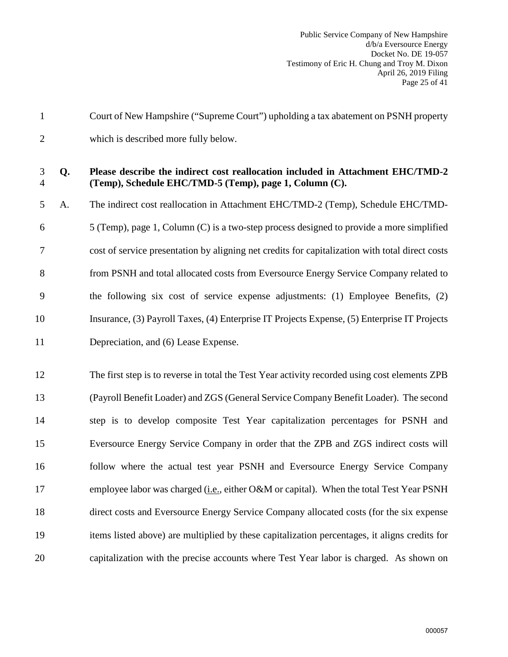| $\mathbf{1}$        |    | Court of New Hampshire ("Supreme Court") upholding a tax abatement on PSNH property                                                       |
|---------------------|----|-------------------------------------------------------------------------------------------------------------------------------------------|
| $\overline{2}$      |    | which is described more fully below.                                                                                                      |
| 3<br>$\overline{4}$ | Q. | Please describe the indirect cost reallocation included in Attachment EHC/TMD-2<br>(Temp), Schedule EHC/TMD-5 (Temp), page 1, Column (C). |
| 5                   | A. | The indirect cost reallocation in Attachment EHC/TMD-2 (Temp), Schedule EHC/TMD-                                                          |
| 6                   |    | 5 (Temp), page 1, Column (C) is a two-step process designed to provide a more simplified                                                  |
| 7                   |    | cost of service presentation by aligning net credits for capitalization with total direct costs                                           |
| 8                   |    | from PSNH and total allocated costs from Eversource Energy Service Company related to                                                     |
| 9                   |    | the following six cost of service expense adjustments: (1) Employee Benefits, (2)                                                         |
| 10                  |    | Insurance, (3) Payroll Taxes, (4) Enterprise IT Projects Expense, (5) Enterprise IT Projects                                              |
| 11                  |    | Depreciation, and (6) Lease Expense.                                                                                                      |
| 12                  |    | The first step is to reverse in total the Test Year activity recorded using cost elements ZPB                                             |
| 13                  |    | (Payroll Benefit Loader) and ZGS (General Service Company Benefit Loader). The second                                                     |
| 14                  |    | step is to develop composite Test Year capitalization percentages for PSNH and                                                            |
| 15                  |    | Eversource Energy Service Company in order that the ZPB and ZGS indirect costs will                                                       |
| 16                  |    | follow where the actual test year PSNH and Eversource Energy Service Company                                                              |
| 17                  |    | employee labor was charged ( <i>i.e.</i> , either O&M or capital). When the total Test Year PSNH                                          |
| 18                  |    | direct costs and Eversource Energy Service Company allocated costs (for the six expense                                                   |
| 19                  |    | items listed above) are multiplied by these capitalization percentages, it aligns credits for                                             |
| 20                  |    | capitalization with the precise accounts where Test Year labor is charged. As shown on                                                    |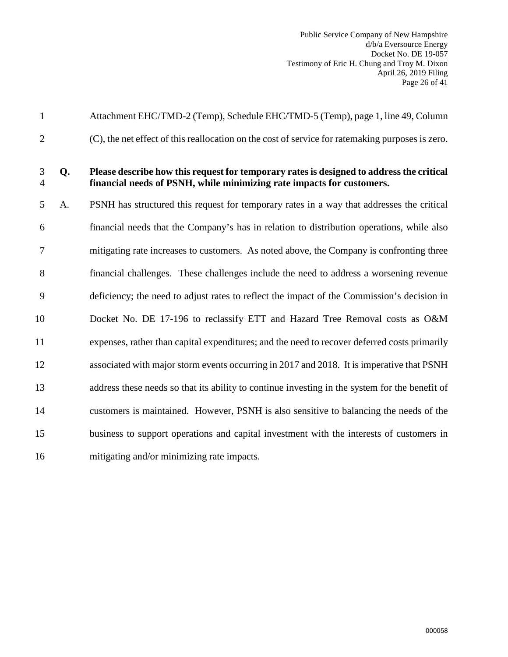Public Service Company of New Hampshire d/b/a Eversource Energy Docket No. DE 19-057 Testimony of Eric H. Chung and Troy M. Dixon April 26, 2019 Filing Page 26 of 41

| $\mathbf{1}$        |    | Attachment EHC/TMD-2 (Temp), Schedule EHC/TMD-5 (Temp), page 1, line 49, Column                                                                                   |
|---------------------|----|-------------------------------------------------------------------------------------------------------------------------------------------------------------------|
| $\overline{2}$      |    | (C), the net effect of this reallocation on the cost of service for ratemaking purposes is zero.                                                                  |
| 3<br>$\overline{4}$ | Q. | Please describe how this request for temporary rates is designed to address the critical<br>financial needs of PSNH, while minimizing rate impacts for customers. |
| 5                   | A. | PSNH has structured this request for temporary rates in a way that addresses the critical                                                                         |
| 6                   |    | financial needs that the Company's has in relation to distribution operations, while also                                                                         |
| 7                   |    | mitigating rate increases to customers. As noted above, the Company is confronting three                                                                          |
| 8                   |    | financial challenges. These challenges include the need to address a worsening revenue                                                                            |
| 9                   |    | deficiency; the need to adjust rates to reflect the impact of the Commission's decision in                                                                        |
| 10                  |    | Docket No. DE 17-196 to reclassify ETT and Hazard Tree Removal costs as O&M                                                                                       |
| 11                  |    | expenses, rather than capital expenditures; and the need to recover deferred costs primarily                                                                      |
| 12                  |    | associated with major storm events occurring in 2017 and 2018. It is imperative that PSNH                                                                         |
| 13                  |    | address these needs so that its ability to continue investing in the system for the benefit of                                                                    |
| 14                  |    | customers is maintained. However, PSNH is also sensitive to balancing the needs of the                                                                            |
| 15                  |    | business to support operations and capital investment with the interests of customers in                                                                          |
| 16                  |    | mitigating and/or minimizing rate impacts.                                                                                                                        |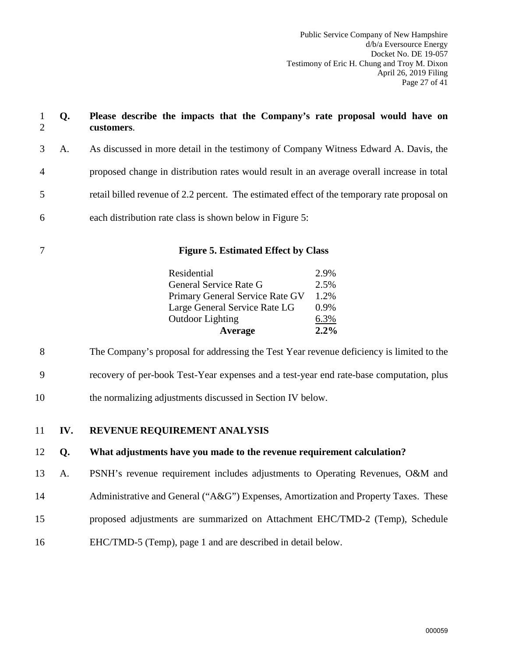<span id="page-28-0"></span>

| $\mathbf{1}$<br>$\overline{2}$ | Q.  | Please describe the impacts that the Company's rate proposal would have on<br>customers.     |      |
|--------------------------------|-----|----------------------------------------------------------------------------------------------|------|
| 3                              | A.  | As discussed in more detail in the testimony of Company Witness Edward A. Davis, the         |      |
| 4                              |     | proposed change in distribution rates would result in an average overall increase in total   |      |
| 5                              |     | retail billed revenue of 2.2 percent. The estimated effect of the temporary rate proposal on |      |
| 6                              |     | each distribution rate class is shown below in Figure 5:                                     |      |
| $\overline{7}$                 |     | <b>Figure 5. Estimated Effect by Class</b>                                                   |      |
|                                |     | Residential                                                                                  | 2.9% |
|                                |     | General Service Rate G                                                                       | 2.5% |
|                                |     | Primary General Service Rate GV                                                              | 1.2% |
|                                |     | Large General Service Rate LG                                                                | 0.9% |
|                                |     | <b>Outdoor Lighting</b>                                                                      | 6.3% |
|                                |     | Average                                                                                      | 2.2% |
| 8                              |     | The Company's proposal for addressing the Test Year revenue deficiency is limited to the     |      |
| 9                              |     | recovery of per-book Test-Year expenses and a test-year end rate-base computation, plus      |      |
| 10                             |     | the normalizing adjustments discussed in Section IV below.                                   |      |
| 11                             | IV. | REVENUE REQUIREMENT ANALYSIS                                                                 |      |
| 12                             | Q.  | What adjustments have you made to the revenue requirement calculation?                       |      |
| 13                             | Α.  | PSNH's revenue requirement includes adjustments to Operating Revenues, O&M and               |      |
| 14                             |     | Administrative and General ("A&G") Expenses, Amortization and Property Taxes. These          |      |
| 15                             |     | proposed adjustments are summarized on Attachment EHC/TMD-2 (Temp), Schedule                 |      |
| 16                             |     | EHC/TMD-5 (Temp), page 1 and are described in detail below.                                  |      |
|                                |     |                                                                                              |      |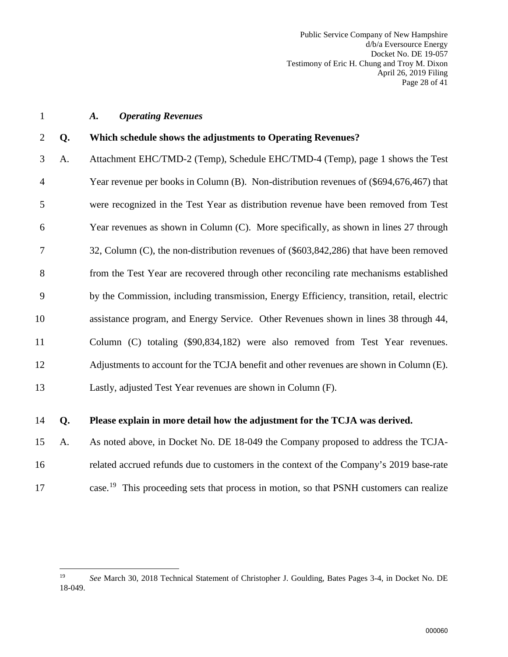Public Service Company of New Hampshire d/b/a Eversource Energy Docket No. DE 19-057 Testimony of Eric H. Chung and Troy M. Dixon April 26, 2019 Filing Page 28 of 41

#### <span id="page-29-0"></span>1 *A. Operating Revenues*

#### 2 **Q. Which schedule shows the adjustments to Operating Revenues?**

3 A. Attachment EHC/TMD-2 (Temp), Schedule EHC/TMD-4 (Temp), page 1 shows the Test 4 Year revenue per books in Column (B). Non-distribution revenues of (\$694,676,467) that 5 were recognized in the Test Year as distribution revenue have been removed from Test 6 Year revenues as shown in Column (C). More specifically, as shown in lines 27 through 7 32, Column (C), the non-distribution revenues of (\$603,842,286) that have been removed 8 from the Test Year are recovered through other reconciling rate mechanisms established 9 by the Commission, including transmission, Energy Efficiency, transition, retail, electric 10 assistance program, and Energy Service. Other Revenues shown in lines 38 through 44, 11 Column (C) totaling (\$90,834,182) were also removed from Test Year revenues. 12 Adjustments to account for the TCJA benefit and other revenues are shown in Column (E). 13 Lastly, adjusted Test Year revenues are shown in Column (F).

#### 14 **Q. Please explain in more detail how the adjustment for the TCJA was derived.**

- 15 A. As noted above, in Docket No. DE 18-049 the Company proposed to address the TCJA-16 related accrued refunds due to customers in the context of the Company's 2019 base-rate
- 

 $\overline{a}$ 

<sup>17</sup> case.<sup>[19](#page-29-1)</sup> This proceeding sets that process in motion, so that PSNH customers can realize

<span id="page-29-1"></span><sup>19</sup> *See* March 30, 2018 Technical Statement of Christopher J. Goulding, Bates Pages 3-4, in Docket No. DE 18-049.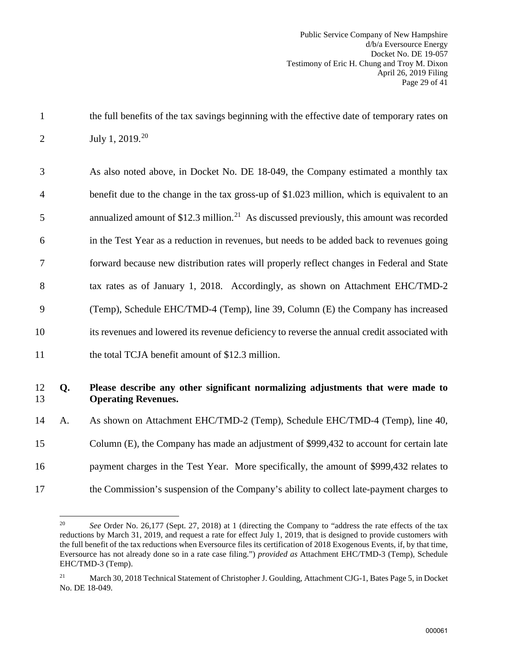1 the full benefits of the tax savings beginning with the effective date of temporary rates on 2 July 1, [20](#page-30-0)19.<sup>20</sup>

| 12             | Q. | Please describe any other significant normalizing adjustments that were made to                      |
|----------------|----|------------------------------------------------------------------------------------------------------|
| 11             |    | the total TCJA benefit amount of \$12.3 million.                                                     |
| 10             |    | its revenues and lowered its revenue deficiency to reverse the annual credit associated with         |
| 9              |    | (Temp), Schedule EHC/TMD-4 (Temp), line 39, Column (E) the Company has increased                     |
| 8              |    | tax rates as of January 1, 2018. Accordingly, as shown on Attachment EHC/TMD-2                       |
| $\overline{7}$ |    | forward because new distribution rates will properly reflect changes in Federal and State            |
| 6              |    | in the Test Year as a reduction in revenues, but needs to be added back to revenues going            |
| 5              |    | annualized amount of \$12.3 million. <sup>21</sup> As discussed previously, this amount was recorded |
| $\overline{4}$ |    | benefit due to the change in the tax gross-up of \$1.023 million, which is equivalent to an          |
| 3              |    | As also noted above, in Docket No. DE 18-049, the Company estimated a monthly tax                    |

## 13 **Operating Revenues.**

14 A. As shown on Attachment EHC/TMD-2 (Temp), Schedule EHC/TMD-4 (Temp), line 40,

15 Column (E), the Company has made an adjustment of \$999,432 to account for certain late

16 payment charges in the Test Year. More specifically, the amount of \$999,432 relates to

<span id="page-30-0"></span><sup>17</sup> the Commission's suspension of the Company's ability to collect late-payment charges to

<sup>20</sup> 20 *See* Order No. 26,177 (Sept. 27, 2018) at 1 (directing the Company to "address the rate effects of the tax reductions by March 31, 2019, and request a rate for effect July 1, 2019, that is designed to provide customers with the full benefit of the tax reductions when Eversource files its certification of 2018 Exogenous Events, if, by that time, Eversource has not already done so in a rate case filing.") *provided as* Attachment EHC/TMD-3 (Temp), Schedule EHC/TMD-3 (Temp).

<span id="page-30-1"></span><sup>&</sup>lt;sup>21</sup> March 30, 2018 Technical Statement of Christopher J. Goulding, Attachment CJG-1, Bates Page 5, in Docket No. DE 18-049.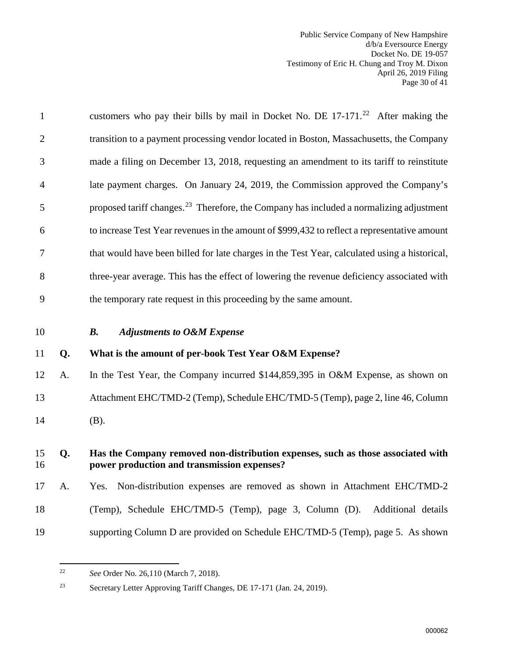Public Service Company of New Hampshire d/b/a Eversource Energy Docket No. DE 19-057 Testimony of Eric H. Chung and Troy M. Dixon April 26, 2019 Filing Page 30 of 41

| 11             | Q. | What is the amount of per-book Test Year O&M Expense?                                               |
|----------------|----|-----------------------------------------------------------------------------------------------------|
| 10             |    | <b>Adjustments to O&amp;M Expense</b><br><b>B.</b>                                                  |
| 9              |    | the temporary rate request in this proceeding by the same amount.                                   |
| 8              |    | three-year average. This has the effect of lowering the revenue deficiency associated with          |
| 7              |    | that would have been billed for late charges in the Test Year, calculated using a historical,       |
| 6              |    | to increase Test Year revenues in the amount of \$999,432 to reflect a representative amount        |
| 5              |    | proposed tariff changes. <sup>23</sup> Therefore, the Company has included a normalizing adjustment |
| $\overline{4}$ |    | late payment charges. On January 24, 2019, the Commission approved the Company's                    |
| 3              |    | made a filing on December 13, 2018, requesting an amendment to its tariff to reinstitute            |
| 2              |    | transition to a payment processing vendor located in Boston, Massachusetts, the Company             |
| 1              |    | customers who pay their bills by mail in Docket No. DE $17-171.^{22}$ After making the              |

<span id="page-31-0"></span>12 A. In the Test Year, the Company incurred \$144,859,395 in O&M Expense, as shown on 13 Attachment EHC/TMD-2 (Temp), Schedule EHC/TMD-5 (Temp), page 2, line 46, Column 14 (B).

#### 15 **Q. Has the Company removed non-distribution expenses, such as those associated with**  16 **power production and transmission expenses?**

17 A. Yes. Non-distribution expenses are removed as shown in Attachment EHC/TMD-2

- 18 (Temp), Schedule EHC/TMD-5 (Temp), page 3, Column (D). Additional details
- <span id="page-31-1"></span>19 supporting Column D are provided on Schedule EHC/TMD-5 (Temp), page 5. As shown

 $22\,$ 22 *See* Order No. 26,110 (March 7, 2018).

<span id="page-31-2"></span><sup>23</sup> Secretary Letter Approving Tariff Changes, DE 17-171 (Jan. 24, 2019).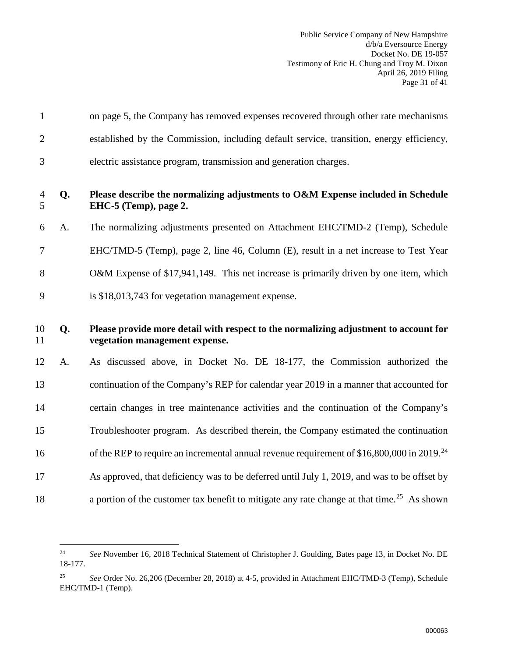Public Service Company of New Hampshire d/b/a Eversource Energy Docket No. DE 19-057 Testimony of Eric H. Chung and Troy M. Dixon April 26, 2019 Filing Page 31 of 41

| $\mathbf{1}$   |    | on page 5, the Company has removed expenses recovered through other rate mechanisms                                    |
|----------------|----|------------------------------------------------------------------------------------------------------------------------|
| $\overline{2}$ |    | established by the Commission, including default service, transition, energy efficiency,                               |
| 3              |    | electric assistance program, transmission and generation charges.                                                      |
| 4<br>5         | Q. | Please describe the normalizing adjustments to O&M Expense included in Schedule<br>EHC-5 (Temp), page 2.               |
| 6              | A. | The normalizing adjustments presented on Attachment EHC/TMD-2 (Temp), Schedule                                         |
| 7              |    | EHC/TMD-5 (Temp), page 2, line 46, Column (E), result in a net increase to Test Year                                   |
| 8              |    | O&M Expense of \$17,941,149. This net increase is primarily driven by one item, which                                  |
| 9              |    | is \$18,013,743 for vegetation management expense.                                                                     |
|                |    |                                                                                                                        |
| 10<br>11       | Q. | Please provide more detail with respect to the normalizing adjustment to account for<br>vegetation management expense. |
| 12             | A. | As discussed above, in Docket No. DE 18-177, the Commission authorized the                                             |
| 13             |    | continuation of the Company's REP for calendar year 2019 in a manner that accounted for                                |
| 14             |    | certain changes in tree maintenance activities and the continuation of the Company's                                   |
| 15             |    | Troubleshooter program. As described therein, the Company estimated the continuation                                   |
| 16             |    | of the REP to require an incremental annual revenue requirement of $$16,800,000$ in 2019. <sup>24</sup>                |
| 17             |    | As approved, that deficiency was to be deferred until July 1, 2019, and was to be offset by                            |
| 18             |    | a portion of the customer tax benefit to mitigate any rate change at that time. <sup>25</sup> As shown                 |

<span id="page-32-0"></span> $24\,$ 24 *See* November 16, 2018 Technical Statement of Christopher J. Goulding, Bates page 13, in Docket No. DE 18-177.

<span id="page-32-1"></span><sup>25</sup> *See* Order No. 26,206 (December 28, 2018) at 4-5, provided in Attachment EHC/TMD-3 (Temp), Schedule EHC/TMD-1 (Temp).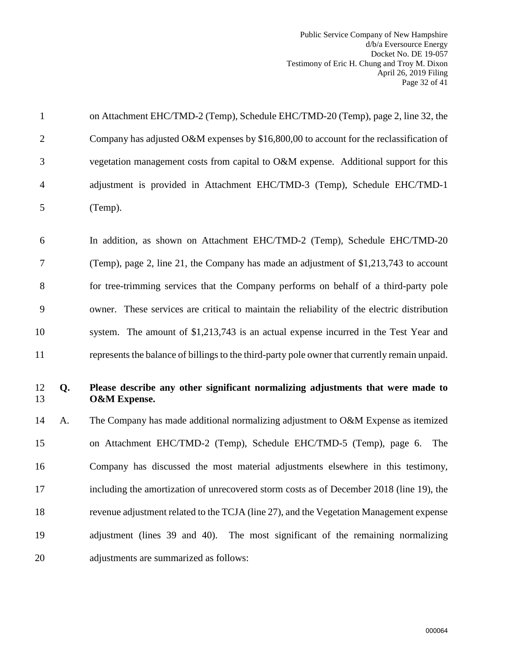Public Service Company of New Hampshire d/b/a Eversource Energy Docket No. DE 19-057 Testimony of Eric H. Chung and Troy M. Dixon April 26, 2019 Filing Page 32 of 41

|                | on Attachment EHC/TMD-2 (Temp), Schedule EHC/TMD-20 (Temp), page 2, line 32, the        |
|----------------|-----------------------------------------------------------------------------------------|
| 2              | Company has adjusted O&M expenses by \$16,800,00 to account for the reclassification of |
| 3              | vegetation management costs from capital to O&M expense. Additional support for this    |
| $\overline{4}$ | adjustment is provided in Attachment EHC/TMD-3 (Temp), Schedule EHC/TMD-1               |
| 5              | (Temp).                                                                                 |

6 In addition, as shown on Attachment EHC/TMD-2 (Temp), Schedule EHC/TMD-20 7 (Temp), page 2, line 21, the Company has made an adjustment of \$1,213,743 to account 8 for tree-trimming services that the Company performs on behalf of a third-party pole 9 owner. These services are critical to maintain the reliability of the electric distribution 10 system. The amount of \$1,213,743 is an actual expense incurred in the Test Year and 11 represents the balance of billings to the third-party pole owner that currently remain unpaid.

#### 12 **Q. Please describe any other significant normalizing adjustments that were made to**  13 **O&M Expense.**

14 A. The Company has made additional normalizing adjustment to O&M Expense as itemized 15 on Attachment EHC/TMD-2 (Temp), Schedule EHC/TMD-5 (Temp), page 6. The 16 Company has discussed the most material adjustments elsewhere in this testimony, 17 including the amortization of unrecovered storm costs as of December 2018 (line 19), the 18 revenue adjustment related to the TCJA (line 27), and the Vegetation Management expense 19 adjustment (lines 39 and 40). The most significant of the remaining normalizing 20 adjustments are summarized as follows: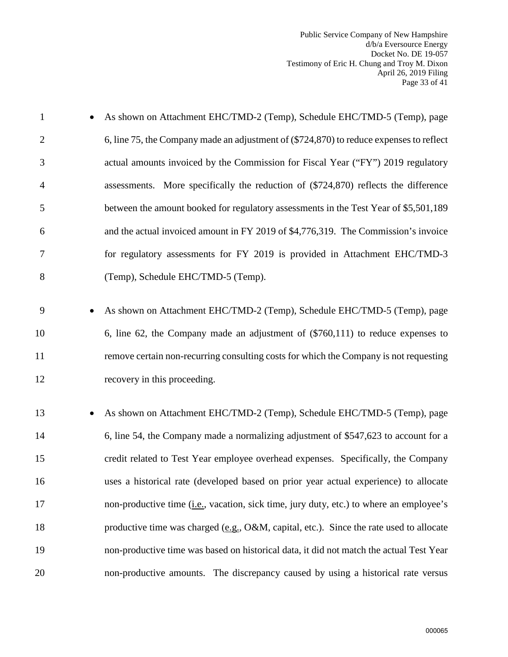| $\mathbf{1}$   |           | As shown on Attachment EHC/TMD-2 (Temp), Schedule EHC/TMD-5 (Temp), page                |
|----------------|-----------|-----------------------------------------------------------------------------------------|
| $\overline{2}$ |           | 6, line 75, the Company made an adjustment of (\$724,870) to reduce expenses to reflect |
| 3              |           | actual amounts invoiced by the Commission for Fiscal Year ("FY") 2019 regulatory        |
| $\overline{4}$ |           | assessments. More specifically the reduction of (\$724,870) reflects the difference     |
| 5              |           | between the amount booked for regulatory assessments in the Test Year of \$5,501,189    |
| 6              |           | and the actual invoiced amount in FY 2019 of \$4,776,319. The Commission's invoice      |
| 7              |           | for regulatory assessments for FY 2019 is provided in Attachment EHC/TMD-3              |
| 8              |           | (Temp), Schedule EHC/TMD-5 (Temp).                                                      |
|                |           |                                                                                         |
| 9              |           | As shown on Attachment EHC/TMD-2 (Temp), Schedule EHC/TMD-5 (Temp), page                |
| 10             |           | 6, line 62, the Company made an adjustment of $(\$760,111)$ to reduce expenses to       |
| 11             |           | remove certain non-recurring consulting costs for which the Company is not requesting   |
| 12             |           | recovery in this proceeding.                                                            |
| 13             | $\bullet$ | As shown on Attachment EHC/TMD-2 (Temp), Schedule EHC/TMD-5 (Temp), page                |
| 14             |           | 6, line 54, the Company made a normalizing adjustment of \$547,623 to account for a     |
| 15             |           | credit related to Test Year employee overhead expenses. Specifically, the Company       |
| 16             |           | uses a historical rate (developed based on prior year actual experience) to allocate    |
| 17             |           | non-productive time (i.e., vacation, sick time, jury duty, etc.) to where an employee's |
| 18             |           | productive time was charged (e.g., O&M, capital, etc.). Since the rate used to allocate |
| 19             |           | non-productive time was based on historical data, it did not match the actual Test Year |
| 20             |           | non-productive amounts. The discrepancy caused by using a historical rate versus        |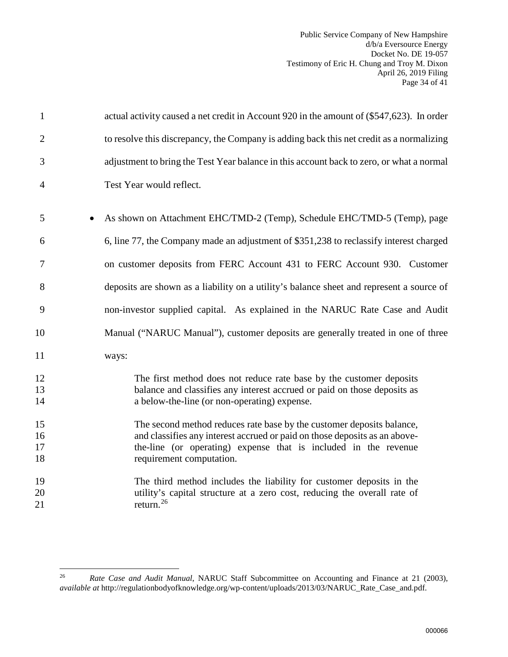Public Service Company of New Hampshire d/b/a Eversource Energy Docket No. DE 19-057 Testimony of Eric H. Chung and Troy M. Dixon April 26, 2019 Filing Page 34 of 41

| $\mathbf{1}$         | actual activity caused a net credit in Account 920 in the amount of (\$547,623). In order                                                                                                                                                          |
|----------------------|----------------------------------------------------------------------------------------------------------------------------------------------------------------------------------------------------------------------------------------------------|
| $\overline{2}$       | to resolve this discrepancy, the Company is adding back this net credit as a normalizing                                                                                                                                                           |
| 3                    | adjustment to bring the Test Year balance in this account back to zero, or what a normal                                                                                                                                                           |
| $\overline{4}$       | Test Year would reflect.                                                                                                                                                                                                                           |
| 5                    | As shown on Attachment EHC/TMD-2 (Temp), Schedule EHC/TMD-5 (Temp), page                                                                                                                                                                           |
| 6                    | 6, line 77, the Company made an adjustment of \$351,238 to reclassify interest charged                                                                                                                                                             |
| 7                    | on customer deposits from FERC Account 431 to FERC Account 930. Customer                                                                                                                                                                           |
| 8                    | deposits are shown as a liability on a utility's balance sheet and represent a source of                                                                                                                                                           |
| 9                    | non-investor supplied capital. As explained in the NARUC Rate Case and Audit                                                                                                                                                                       |
| 10                   | Manual ("NARUC Manual"), customer deposits are generally treated in one of three                                                                                                                                                                   |
| 11                   | ways:                                                                                                                                                                                                                                              |
| 12<br>13<br>14       | The first method does not reduce rate base by the customer deposits<br>balance and classifies any interest accrued or paid on those deposits as<br>a below-the-line (or non-operating) expense.                                                    |
| 15<br>16<br>17<br>18 | The second method reduces rate base by the customer deposits balance,<br>and classifies any interest accrued or paid on those deposits as an above-<br>the-line (or operating) expense that is included in the revenue<br>requirement computation. |
| 19<br>20<br>21       | The third method includes the liability for customer deposits in the<br>utility's capital structure at a zero cost, reducing the overall rate of<br>return. <sup>26</sup>                                                                          |

<span id="page-35-0"></span> $26\,$ 26 *Rate Case and Audit Manual*, NARUC Staff Subcommittee on Accounting and Finance at 21 (2003), *available at* http://regulationbodyofknowledge.org/wp-content/uploads/2013/03/NARUC\_Rate\_Case\_and.pdf.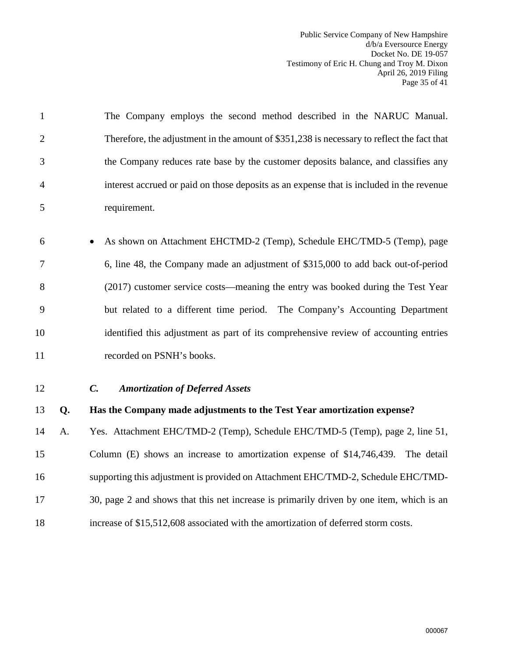Public Service Company of New Hampshire d/b/a Eversource Energy Docket No. DE 19-057 Testimony of Eric H. Chung and Troy M. Dixon April 26, 2019 Filing Page 35 of 41

1 The Company employs the second method described in the NARUC Manual. 2 Therefore, the adjustment in the amount of \$351,238 is necessary to reflect the fact that 3 the Company reduces rate base by the customer deposits balance, and classifies any 4 interest accrued or paid on those deposits as an expense that is included in the revenue 5 requirement.

- 6 As shown on Attachment EHCTMD-2 (Temp), Schedule EHC/TMD-5 (Temp), page 7 6, line 48, the Company made an adjustment of \$315,000 to add back out-of-period 8 (2017) customer service costs—meaning the entry was booked during the Test Year 9 but related to a different time period. The Company's Accounting Department 10 identified this adjustment as part of its comprehensive review of accounting entries 11 recorded on PSNH's books.
- <span id="page-36-0"></span>

#### 12 *C. Amortization of Deferred Assets*

#### 13 **Q. Has the Company made adjustments to the Test Year amortization expense?**

14 A. Yes. Attachment EHC/TMD-2 (Temp), Schedule EHC/TMD-5 (Temp), page 2, line 51, 15 Column (E) shows an increase to amortization expense of \$14,746,439. The detail 16 supporting this adjustment is provided on Attachment EHC/TMD-2, Schedule EHC/TMD-17 30, page 2 and shows that this net increase is primarily driven by one item, which is an 18 increase of \$15,512,608 associated with the amortization of deferred storm costs.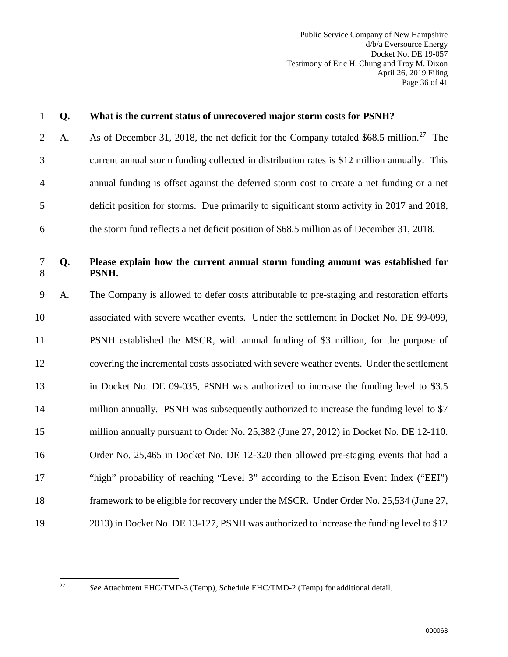Public Service Company of New Hampshire d/b/a Eversource Energy Docket No. DE 19-057 Testimony of Eric H. Chung and Troy M. Dixon April 26, 2019 Filing Page 36 of 41

| $\mathbf{1}$   | Q. | What is the current status of unrecovered major storm costs for PSNH?                              |
|----------------|----|----------------------------------------------------------------------------------------------------|
| $\overline{2}$ | A. | As of December 31, 2018, the net deficit for the Company totaled \$68.5 million. <sup>27</sup> The |
| 3              |    | current annual storm funding collected in distribution rates is \$12 million annually. This        |
| $\overline{4}$ |    | annual funding is offset against the deferred storm cost to create a net funding or a net          |
| 5              |    | deficit position for storms. Due primarily to significant storm activity in 2017 and 2018,         |
| 6              |    | the storm fund reflects a net deficit position of \$68.5 million as of December 31, 2018.          |
| $\tau$<br>8    | Q. | Please explain how the current annual storm funding amount was established for<br>PSNH.            |
| 9              | A. | The Company is allowed to defer costs attributable to pre-staging and restoration efforts          |
| 10             |    | associated with severe weather events. Under the settlement in Docket No. DE 99-099,               |
| 11             |    | PSNH established the MSCR, with annual funding of \$3 million, for the purpose of                  |
| 12             |    | covering the incremental costs associated with severe weather events. Under the settlement         |
| 13             |    | in Docket No. DE 09-035, PSNH was authorized to increase the funding level to \$3.5                |
| 14             |    | million annually. PSNH was subsequently authorized to increase the funding level to \$7            |
| 15             |    | million annually pursuant to Order No. 25,382 (June 27, 2012) in Docket No. DE 12-110.             |
| 16             |    | Order No. 25,465 in Docket No. DE 12-320 then allowed pre-staging events that had a                |
| 17             |    | "high" probability of reaching "Level 3" according to the Edison Event Index ("EEI")               |
| 18             |    | framework to be eligible for recovery under the MSCR. Under Order No. 25,534 (June 27,             |
| 19             |    | 2013) in Docket No. DE 13-127, PSNH was authorized to increase the funding level to \$12           |

<span id="page-37-0"></span> $27\,$ 

<sup>27</sup> *See* Attachment EHC/TMD-3 (Temp), Schedule EHC/TMD-2 (Temp) for additional detail.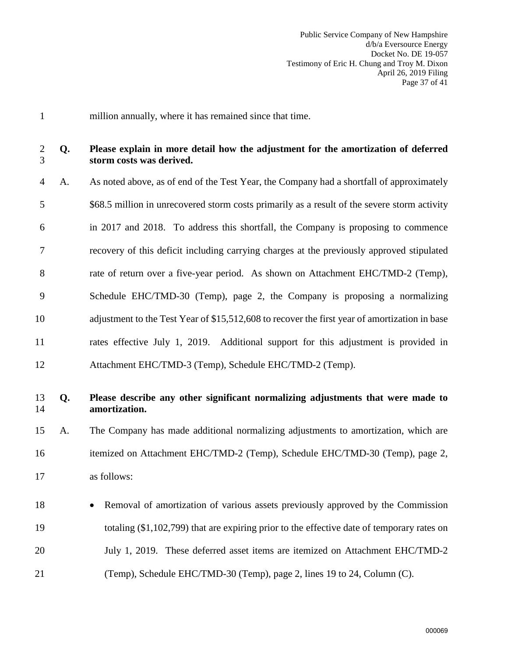- 1 million annually, where it has remained since that time.
- 2 **Q. Please explain in more detail how the adjustment for the amortization of deferred**  3 **storm costs was derived.**
- 4 A. As noted above, as of end of the Test Year, the Company had a shortfall of approximately 5 \$68.5 million in unrecovered storm costs primarily as a result of the severe storm activity 6 in 2017 and 2018. To address this shortfall, the Company is proposing to commence 7 recovery of this deficit including carrying charges at the previously approved stipulated 8 rate of return over a five-year period. As shown on Attachment EHC/TMD-2 (Temp), 9 Schedule EHC/TMD-30 (Temp), page 2, the Company is proposing a normalizing 10 adjustment to the Test Year of \$15,512,608 to recover the first year of amortization in base 11 rates effective July 1, 2019. Additional support for this adjustment is provided in 12 Attachment EHC/TMD-3 (Temp), Schedule EHC/TMD-2 (Temp).

#### 13 **Q. Please describe any other significant normalizing adjustments that were made to**  14 **amortization.**

15 A. The Company has made additional normalizing adjustments to amortization, which are 16 itemized on Attachment EHC/TMD-2 (Temp), Schedule EHC/TMD-30 (Temp), page 2, 17 as follows:

18 • Removal of amortization of various assets previously approved by the Commission 19 totaling (\$1,102,799) that are expiring prior to the effective date of temporary rates on 20 July 1, 2019. These deferred asset items are itemized on Attachment EHC/TMD-2 21 (Temp), Schedule EHC/TMD-30 (Temp), page 2, lines 19 to 24, Column (C).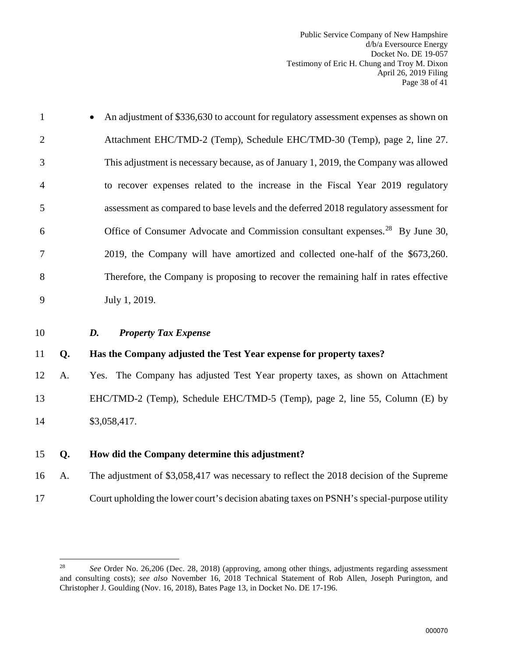Public Service Company of New Hampshire d/b/a Eversource Energy Docket No. DE 19-057 Testimony of Eric H. Chung and Troy M. Dixon April 26, 2019 Filing Page 38 of 41

| $\mathbf{1}$   |    | An adjustment of \$336,630 to account for regulatory assessment expenses as shown on      |
|----------------|----|-------------------------------------------------------------------------------------------|
| $\overline{2}$ |    | Attachment EHC/TMD-2 (Temp), Schedule EHC/TMD-30 (Temp), page 2, line 27.                 |
| 3              |    | This adjustment is necessary because, as of January 1, 2019, the Company was allowed      |
| 4              |    | to recover expenses related to the increase in the Fiscal Year 2019 regulatory            |
| 5              |    | assessment as compared to base levels and the deferred 2018 regulatory assessment for     |
| 6              |    | Office of Consumer Advocate and Commission consultant expenses. <sup>28</sup> By June 30, |
| 7              |    | 2019, the Company will have amortized and collected one-half of the \$673,260.            |
| 8              |    | Therefore, the Company is proposing to recover the remaining half in rates effective      |
| 9              |    | July 1, 2019.                                                                             |
| 10             |    | <b>Property Tax Expense</b><br>D.                                                         |
| 11             | Q. | Has the Company adjusted the Test Year expense for property taxes?                        |
| 12             | А. | Yes. The Company has adjusted Test Year property taxes, as shown on Attachment            |
| 13             |    | EHC/TMD-2 (Temp), Schedule EHC/TMD-5 (Temp), page 2, line 55, Column (E) by               |
| 14             |    | \$3,058,417.                                                                              |
| 15             | Q. | How did the Company determine this adjustment?                                            |
| 16             | A. | The adjustment of \$3,058,417 was necessary to reflect the 2018 decision of the Supreme   |

<span id="page-39-0"></span>17 Court upholding the lower court's decision abating taxes on PSNH's special-purpose utility

<span id="page-39-1"></span> $28\,$ See Order No. 26,206 (Dec. 28, 2018) (approving, among other things, adjustments regarding assessment and consulting costs); *see also* November 16, 2018 Technical Statement of Rob Allen, Joseph Purington, and Christopher J. Goulding (Nov. 16, 2018), Bates Page 13, in Docket No. DE 17-196.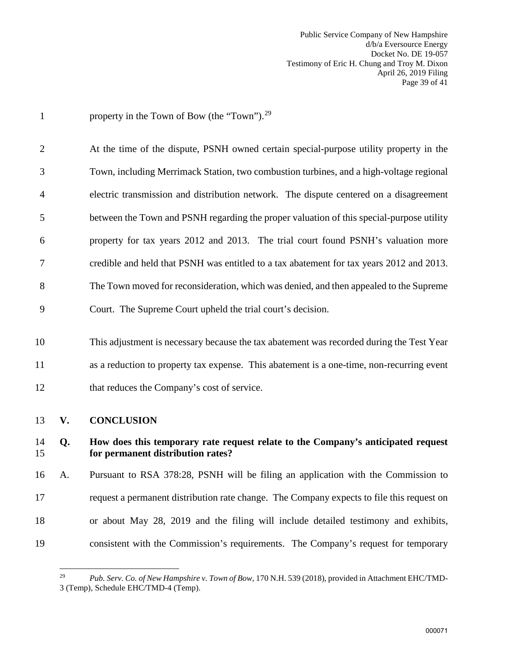Public Service Company of New Hampshire d/b/a Eversource Energy Docket No. DE 19-057 Testimony of Eric H. Chung and Troy M. Dixon April 26, 2019 Filing Page 39 of 41

| $\mathbf{1}$   |    | property in the Town of Bow (the "Town"). <sup>29</sup>                                                               |
|----------------|----|-----------------------------------------------------------------------------------------------------------------------|
| $\overline{2}$ |    | At the time of the dispute, PSNH owned certain special-purpose utility property in the                                |
| 3              |    | Town, including Merrimack Station, two combustion turbines, and a high-voltage regional                               |
| 4              |    | electric transmission and distribution network. The dispute centered on a disagreement                                |
| 5              |    | between the Town and PSNH regarding the proper valuation of this special-purpose utility                              |
| 6              |    | property for tax years 2012 and 2013. The trial court found PSNH's valuation more                                     |
| 7              |    | credible and held that PSNH was entitled to a tax abatement for tax years 2012 and 2013.                              |
| 8              |    | The Town moved for reconsideration, which was denied, and then appealed to the Supreme                                |
| 9              |    | Court. The Supreme Court upheld the trial court's decision.                                                           |
| 10             |    | This adjustment is necessary because the tax abatement was recorded during the Test Year                              |
| 11             |    | as a reduction to property tax expense. This abatement is a one-time, non-recurring event                             |
| 12             |    | that reduces the Company's cost of service.                                                                           |
| 13             | V. | <b>CONCLUSION</b>                                                                                                     |
| 14<br>15       | Q. | How does this temporary rate request relate to the Company's anticipated request<br>for permanent distribution rates? |
| 16             | А. | Pursuant to RSA 378:28, PSNH will be filing an application with the Commission to                                     |
| 17             |    | request a permanent distribution rate change. The Company expects to file this request on                             |
| 18             |    | or about May 28, 2019 and the filing will include detailed testimony and exhibits,                                    |
| 19             |    | consistent with the Commission's requirements. The Company's request for temporary                                    |

<span id="page-40-1"></span><span id="page-40-0"></span> $29\,$ 29 *Pub. Serv. Co. of New Hampshire v. Town of Bow*, 170 N.H. 539 (2018), provided in Attachment EHC/TMD-3 (Temp), Schedule EHC/TMD-4 (Temp).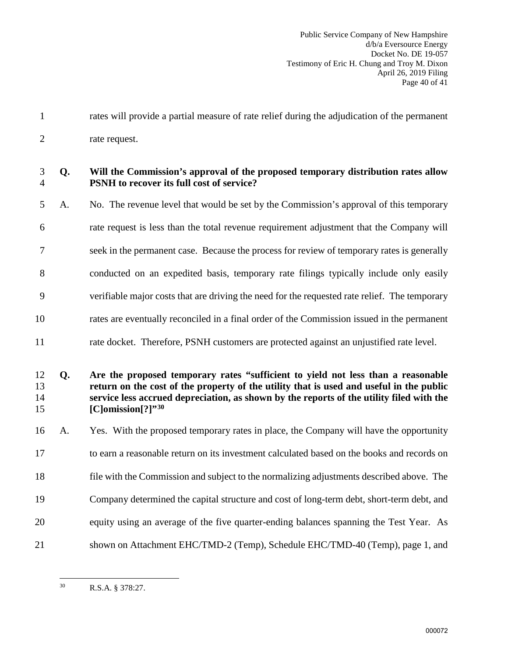Public Service Company of New Hampshire d/b/a Eversource Energy Docket No. DE 19-057 Testimony of Eric H. Chung and Troy M. Dixon April 26, 2019 Filing Page 40 of 41

1 rates will provide a partial measure of rate relief during the adjudication of the permanent 2 rate request.

## 3 **Q. Will the Commission's approval of the proposed temporary distribution rates allow**  4 **PSNH to recover its full cost of service?**

5 A. No. The revenue level that would be set by the Commission's approval of this temporary 6 rate request is less than the total revenue requirement adjustment that the Company will 7 seek in the permanent case. Because the process for review of temporary rates is generally 8 conducted on an expedited basis, temporary rate filings typically include only easily 9 verifiable major costs that are driving the need for the requested rate relief. The temporary 10 rates are eventually reconciled in a final order of the Commission issued in the permanent

11 rate docket. Therefore, PSNH customers are protected against an unjustified rate level.

#### 12 **Q. Are the proposed temporary rates "sufficient to yield not less than a reasonable**  13 **return on the cost of the property of the utility that is used and useful in the public**  14 **service less accrued depreciation, as shown by the reports of the utility filed with the [C]omission[?]"[30](#page-41-0)** 15

16 A. Yes. With the proposed temporary rates in place, the Company will have the opportunity

- 17 to earn a reasonable return on its investment calculated based on the books and records on
- 18 file with the Commission and subject to the normalizing adjustments described above. The
- 19 Company determined the capital structure and cost of long-term debt, short-term debt, and
- 20 equity using an average of the five quarter-ending balances spanning the Test Year. As
- <span id="page-41-0"></span>21 shown on Attachment EHC/TMD-2 (Temp), Schedule EHC/TMD-40 (Temp), page 1, and

 $30<sup>2</sup>$ R.S.A. § 378:27.